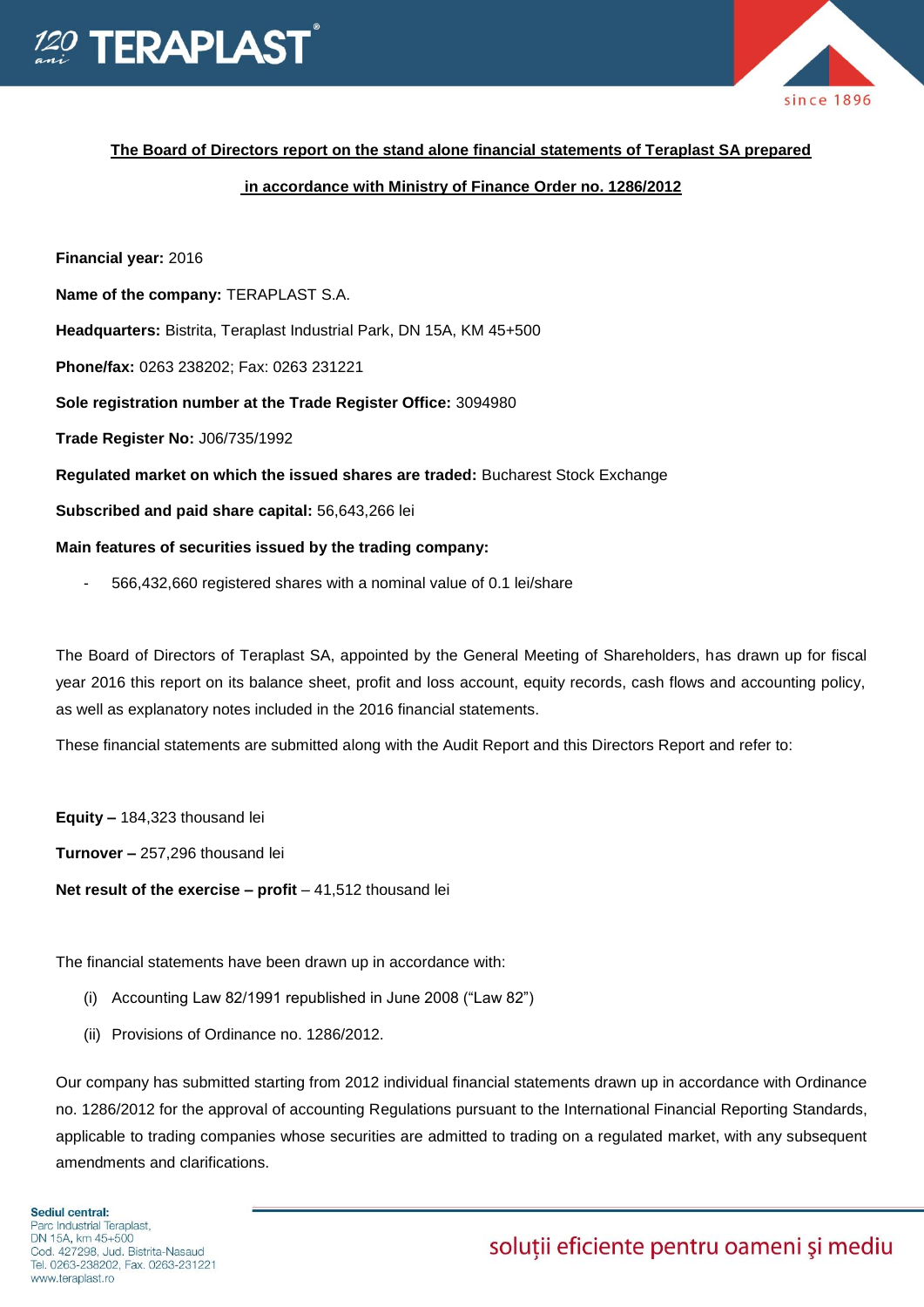



# **The Board of Directors report on the stand alone financial statements of Teraplast SA prepared**

# **in accordance with Ministry of Finance Order no. 1286/2012**

**Financial year:** 2016

**Name of the company:** TERAPLAST S.A.

**Headquarters:** Bistrita, Teraplast Industrial Park, DN 15A, KM 45+500

**Phone/fax:** 0263 238202; Fax: 0263 231221

**Sole registration number at the Trade Register Office:** 3094980

**Trade Register No:** J06/735/1992

**Regulated market on which the issued shares are traded:** Bucharest Stock Exchange

**Subscribed and paid share capital:** 56,643,266 lei

#### **Main features of securities issued by the trading company:**

- 566,432,660 registered shares with a nominal value of 0.1 lei/share

The Board of Directors of Teraplast SA, appointed by the General Meeting of Shareholders, has drawn up for fiscal year 2016 this report on its balance sheet, profit and loss account, equity records, cash flows and accounting policy, as well as explanatory notes included in the 2016 financial statements.

These financial statements are submitted along with the Audit Report and this Directors Report and refer to:

**Equity –** 184,323 thousand lei

**Turnover –** 257,296 thousand lei

**Net result of the exercise – profit** – 41,512 thousand lei

The financial statements have been drawn up in accordance with:

- (i) Accounting Law 82/1991 republished in June 2008 ("Law 82")
- (ii) Provisions of Ordinance no. 1286/2012.

Our company has submitted starting from 2012 individual financial statements drawn up in accordance with Ordinance no. 1286/2012 for the approval of accounting Regulations pursuant to the International Financial Reporting Standards, applicable to trading companies whose securities are admitted to trading on a regulated market, with any subsequent amendments and clarifications.

# soluții eficiente pentru oameni și mediu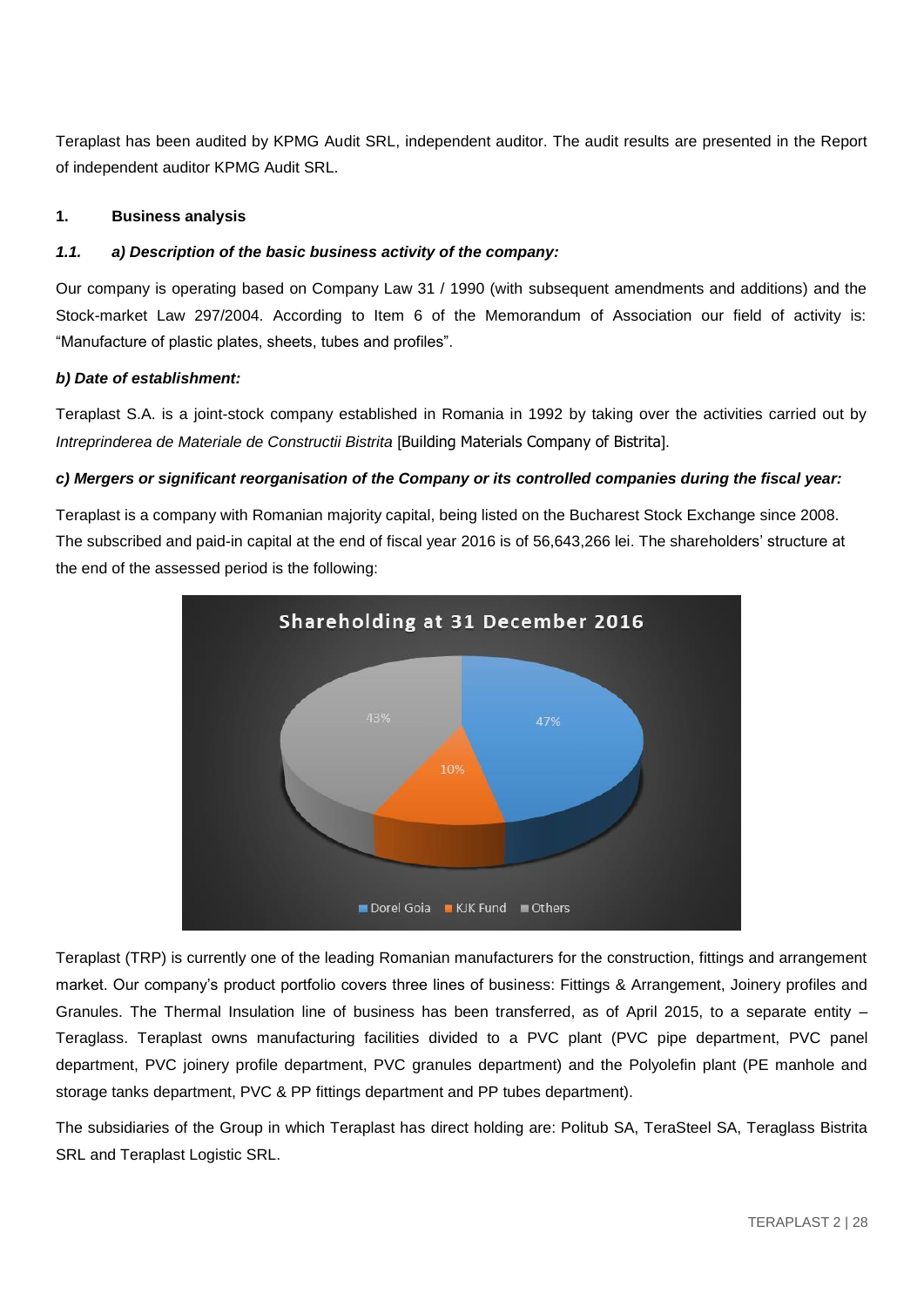Teraplast has been audited by KPMG Audit SRL, independent auditor. The audit results are presented in the Report of independent auditor KPMG Audit SRL.

# **1. Business analysis**

#### *1.1. a) Description of the basic business activity of the company:*

Our company is operating based on Company Law 31 / 1990 (with subsequent amendments and additions) and the Stock-market Law 297/2004. According to Item 6 of the Memorandum of Association our field of activity is: "Manufacture of plastic plates, sheets, tubes and profiles".

#### *b) Date of establishment:*

Teraplast S.A. is a joint-stock company established in Romania in 1992 by taking over the activities carried out by *Intreprinderea de Materiale de Constructii Bistrita* [Building Materials Company of Bistrita].

#### *c) Mergers or significant reorganisation of the Company or its controlled companies during the fiscal year:*

Teraplast is a company with Romanian majority capital, being listed on the Bucharest Stock Exchange since 2008. The subscribed and paid-in capital at the end of fiscal year 2016 is of 56,643,266 lei. The shareholders' structure at the end of the assessed period is the following:



Teraplast (TRP) is currently one of the leading Romanian manufacturers for the construction, fittings and arrangement market. Our company's product portfolio covers three lines of business: Fittings & Arrangement, Joinery profiles and Granules. The Thermal Insulation line of business has been transferred, as of April 2015, to a separate entity – Teraglass. Teraplast owns manufacturing facilities divided to a PVC plant (PVC pipe department, PVC panel department, PVC joinery profile department, PVC granules department) and the Polyolefin plant (PE manhole and storage tanks department, PVC & PP fittings department and PP tubes department).

The subsidiaries of the Group in which Teraplast has direct holding are: Politub SA, TeraSteel SA, Teraglass Bistrita SRL and Teraplast Logistic SRL.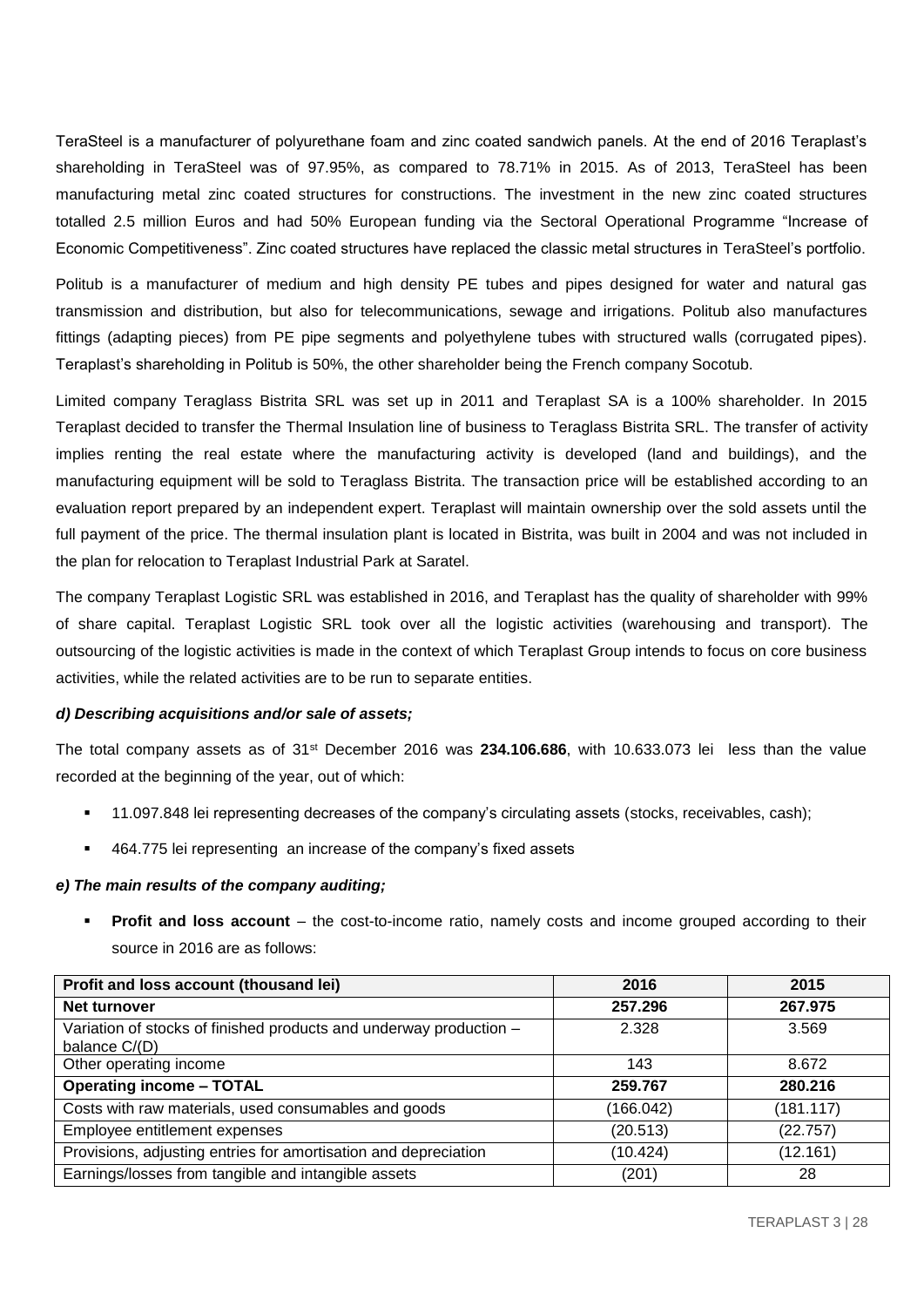TeraSteel is a manufacturer of polyurethane foam and zinc coated sandwich panels. At the end of 2016 Teraplast's shareholding in TeraSteel was of 97.95%, as compared to 78.71% in 2015. As of 2013, TeraSteel has been manufacturing metal zinc coated structures for constructions. The investment in the new zinc coated structures totalled 2.5 million Euros and had 50% European funding via the Sectoral Operational Programme "Increase of Economic Competitiveness". Zinc coated structures have replaced the classic metal structures in TeraSteel's portfolio.

Politub is a manufacturer of medium and high density PE tubes and pipes designed for water and natural gas transmission and distribution, but also for telecommunications, sewage and irrigations. Politub also manufactures fittings (adapting pieces) from PE pipe segments and polyethylene tubes with structured walls (corrugated pipes). Teraplast's shareholding in Politub is 50%, the other shareholder being the French company Socotub.

Limited company Teraglass Bistrita SRL was set up in 2011 and Teraplast SA is a 100% shareholder. In 2015 Teraplast decided to transfer the Thermal Insulation line of business to Teraglass Bistrita SRL. The transfer of activity implies renting the real estate where the manufacturing activity is developed (land and buildings), and the manufacturing equipment will be sold to Teraglass Bistrita. The transaction price will be established according to an evaluation report prepared by an independent expert. Teraplast will maintain ownership over the sold assets until the full payment of the price. The thermal insulation plant is located in Bistrita, was built in 2004 and was not included in the plan for relocation to Teraplast Industrial Park at Saratel.

The company Teraplast Logistic SRL was established in 2016, and Teraplast has the quality of shareholder with 99% of share capital. Teraplast Logistic SRL took over all the logistic activities (warehousing and transport). The outsourcing of the logistic activities is made in the context of which Teraplast Group intends to focus on core business activities, while the related activities are to be run to separate entities.

#### *d) Describing acquisitions and/or sale of assets;*

The total company assets as of 31st December 2016 was **234.106.686**, with 10.633.073 lei less than the value recorded at the beginning of the year, out of which:

- 11.097.848 lei representing decreases of the company's circulating assets (stocks, receivables, cash);
- 464.775 lei representing an increase of the company's fixed assets

#### *e) The main results of the company auditing;*

**Profit and loss account** – the cost-to-income ratio, namely costs and income grouped according to their source in 2016 are as follows:

| Profit and loss account (thousand lei)                                              | 2016      | 2015      |
|-------------------------------------------------------------------------------------|-----------|-----------|
| Net turnover                                                                        | 257.296   | 267.975   |
| Variation of stocks of finished products and underway production -<br>balance C/(D) | 2.328     | 3.569     |
| Other operating income                                                              | 143       | 8.672     |
| <b>Operating income - TOTAL</b>                                                     | 259.767   | 280.216   |
| Costs with raw materials, used consumables and goods                                | (166.042) | (181.117) |
| Employee entitlement expenses                                                       | (20.513)  | (22.757)  |
| Provisions, adjusting entries for amortisation and depreciation                     | (10.424)  | (12.161)  |
| Earnings/losses from tangible and intangible assets                                 | (201)     | 28        |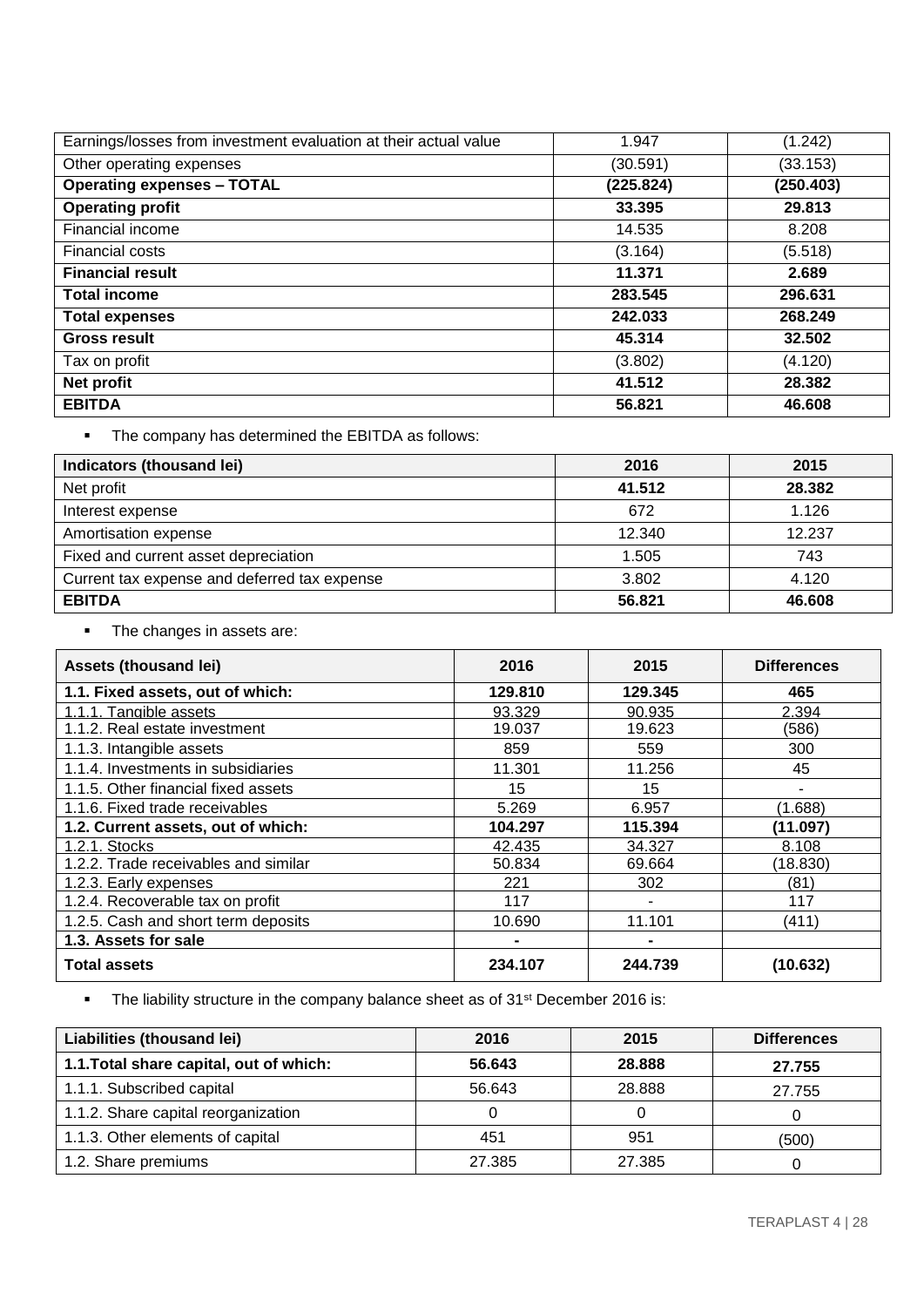| Earnings/losses from investment evaluation at their actual value | 1.947     | (1.242)   |
|------------------------------------------------------------------|-----------|-----------|
| Other operating expenses                                         | (30.591)  | (33.153)  |
| <b>Operating expenses - TOTAL</b>                                | (225.824) | (250.403) |
| <b>Operating profit</b>                                          | 33.395    | 29.813    |
| Financial income                                                 | 14.535    | 8.208     |
| <b>Financial costs</b>                                           | (3.164)   | (5.518)   |
| <b>Financial result</b>                                          | 11.371    | 2.689     |
| <b>Total income</b>                                              | 283.545   | 296.631   |
| <b>Total expenses</b>                                            | 242.033   | 268.249   |
| <b>Gross result</b>                                              | 45.314    | 32.502    |
| Tax on profit                                                    | (3.802)   | (4.120)   |
| Net profit                                                       | 41.512    | 28.382    |
| <b>EBITDA</b>                                                    | 56.821    | 46.608    |

The company has determined the EBITDA as follows:

| Indicators (thousand lei)                    | 2016   | 2015   |
|----------------------------------------------|--------|--------|
| Net profit                                   | 41.512 | 28.382 |
| Interest expense                             | 672    | 1.126  |
| Amortisation expense                         | 12.340 | 12.237 |
| Fixed and current asset depreciation         | 1.505  | 743    |
| Current tax expense and deferred tax expense | 3.802  | 4.120  |
| <b>EBITDA</b>                                | 56.821 | 46.608 |

• The changes in assets are:

| Assets (thousand lei)                | 2016    | 2015    | <b>Differences</b> |
|--------------------------------------|---------|---------|--------------------|
| 1.1. Fixed assets, out of which:     | 129.810 | 129.345 | 465                |
| 1.1.1. Tangible assets               | 93.329  | 90.935  | 2.394              |
| 1.1.2. Real estate investment        | 19.037  | 19.623  | (586)              |
| 1.1.3. Intangible assets             | 859     | 559     | 300                |
| 1.1.4. Investments in subsidiaries   | 11.301  | 11.256  | 45                 |
| 1.1.5. Other financial fixed assets  | 15      | 15      |                    |
| 1.1.6. Fixed trade receivables       | 5.269   | 6.957   | (1.688)            |
| 1.2. Current assets, out of which:   | 104.297 | 115.394 | (11.097)           |
| 1.2.1. Stocks                        | 42.435  | 34.327  | 8.108              |
| 1.2.2. Trade receivables and similar | 50.834  | 69.664  | (18.830)           |
| 1.2.3. Early expenses                | 221     | 302     | (81)               |
| 1.2.4. Recoverable tax on profit     | 117     |         | 117                |
| 1.2.5. Cash and short term deposits  | 10.690  | 11.101  | (411)              |
| 1.3. Assets for sale                 |         |         |                    |
| <b>Total assets</b>                  | 234.107 | 244.739 | (10.632)           |

• The liability structure in the company balance sheet as of 31<sup>st</sup> December 2016 is:

| Liabilities (thousand lei)              | 2016   | 2015   | <b>Differences</b> |
|-----------------------------------------|--------|--------|--------------------|
| 1.1. Total share capital, out of which: | 56.643 | 28.888 | 27.755             |
| 1.1.1. Subscribed capital               | 56.643 | 28.888 | 27.755             |
| 1.1.2. Share capital reorganization     |        |        |                    |
| 1.1.3. Other elements of capital        | 451    | 951    | (500)              |
| 1.2. Share premiums                     | 27.385 | 27.385 |                    |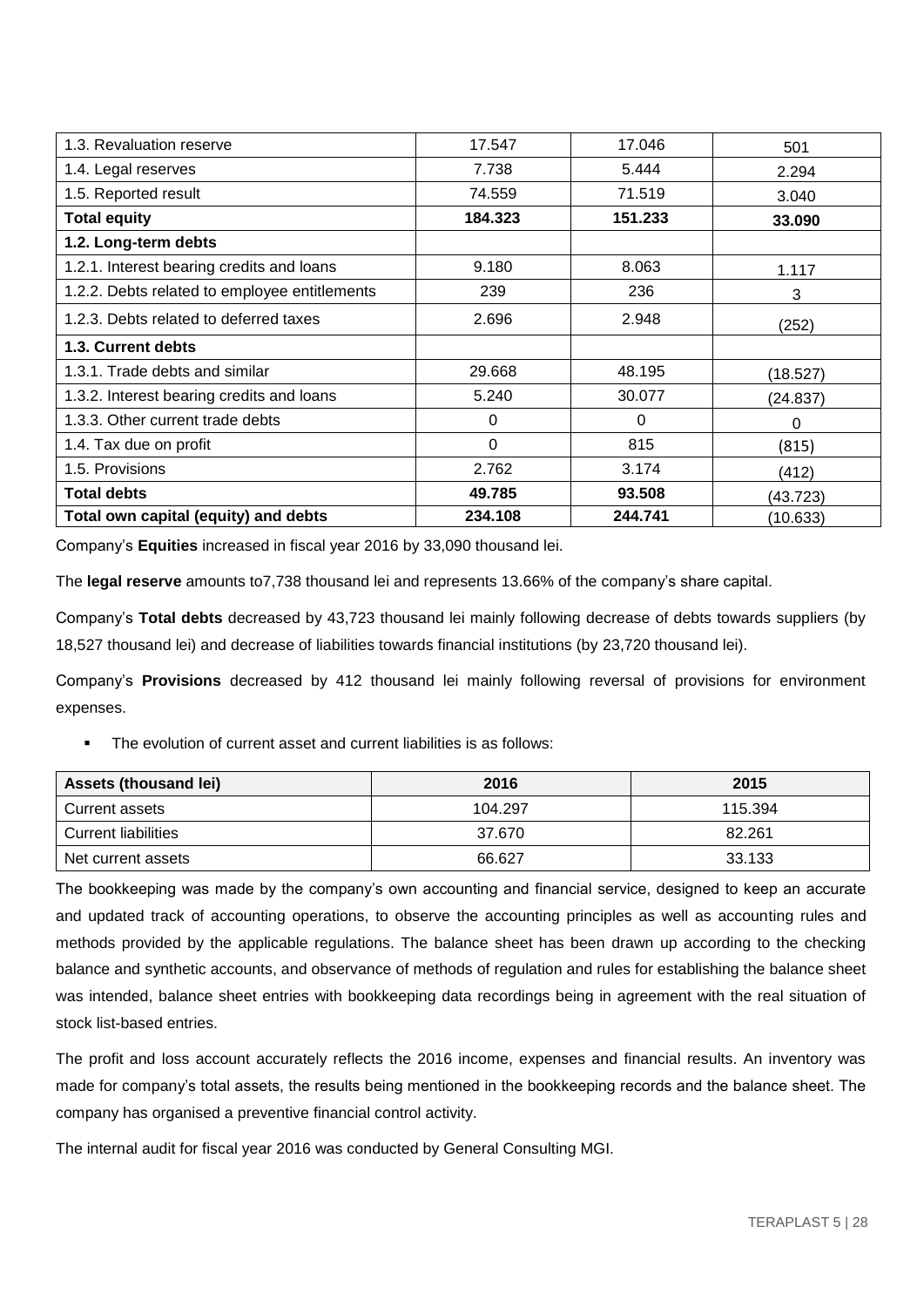| 1.3. Revaluation reserve                      | 17.547  | 17.046   | 501      |
|-----------------------------------------------|---------|----------|----------|
| 1.4. Legal reserves                           | 7.738   | 5.444    | 2.294    |
| 1.5. Reported result                          | 74.559  | 71.519   | 3.040    |
| <b>Total equity</b>                           | 184.323 | 151.233  | 33.090   |
| 1.2. Long-term debts                          |         |          |          |
| 1.2.1. Interest bearing credits and loans     | 9.180   | 8.063    | 1.117    |
| 1.2.2. Debts related to employee entitlements | 239     | 236      | 3        |
| 1.2.3. Debts related to deferred taxes        | 2.696   | 2.948    | (252)    |
| 1.3. Current debts                            |         |          |          |
| 1.3.1. Trade debts and similar                | 29.668  | 48.195   | (18.527) |
| 1.3.2. Interest bearing credits and loans     | 5.240   | 30.077   | (24.837) |
| 1.3.3. Other current trade debts              | 0       | $\Omega$ | 0        |
| 1.4. Tax due on profit                        | 0       | 815      | (815)    |
| 1.5. Provisions                               | 2.762   | 3.174    | (412)    |
| <b>Total debts</b>                            | 49.785  | 93.508   | (43.723) |
| Total own capital (equity) and debts          | 234.108 | 244.741  | (10.633) |

Company's **Equities** increased in fiscal year 2016 by 33,090 thousand lei.

The **legal reserve** amounts to7,738 thousand lei and represents 13.66% of the company's share capital.

Company's **Total debts** decreased by 43,723 thousand lei mainly following decrease of debts towards suppliers (by 18,527 thousand lei) and decrease of liabilities towards financial institutions (by 23,720 thousand lei).

Company's **Provisions** decreased by 412 thousand lei mainly following reversal of provisions for environment expenses.

The evolution of current asset and current liabilities is as follows:

| <b>Assets (thousand lei)</b> | 2016    | 2015    |
|------------------------------|---------|---------|
| Current assets               | 104.297 | 115.394 |
| <b>Current liabilities</b>   | 37.670  | 82.261  |
| Net current assets           | 66.627  | 33.133  |

The bookkeeping was made by the company's own accounting and financial service, designed to keep an accurate and updated track of accounting operations, to observe the accounting principles as well as accounting rules and methods provided by the applicable regulations. The balance sheet has been drawn up according to the checking balance and synthetic accounts, and observance of methods of regulation and rules for establishing the balance sheet was intended, balance sheet entries with bookkeeping data recordings being in agreement with the real situation of stock list-based entries.

The profit and loss account accurately reflects the 2016 income, expenses and financial results. An inventory was made for company's total assets, the results being mentioned in the bookkeeping records and the balance sheet. The company has organised a preventive financial control activity.

The internal audit for fiscal year 2016 was conducted by General Consulting MGI.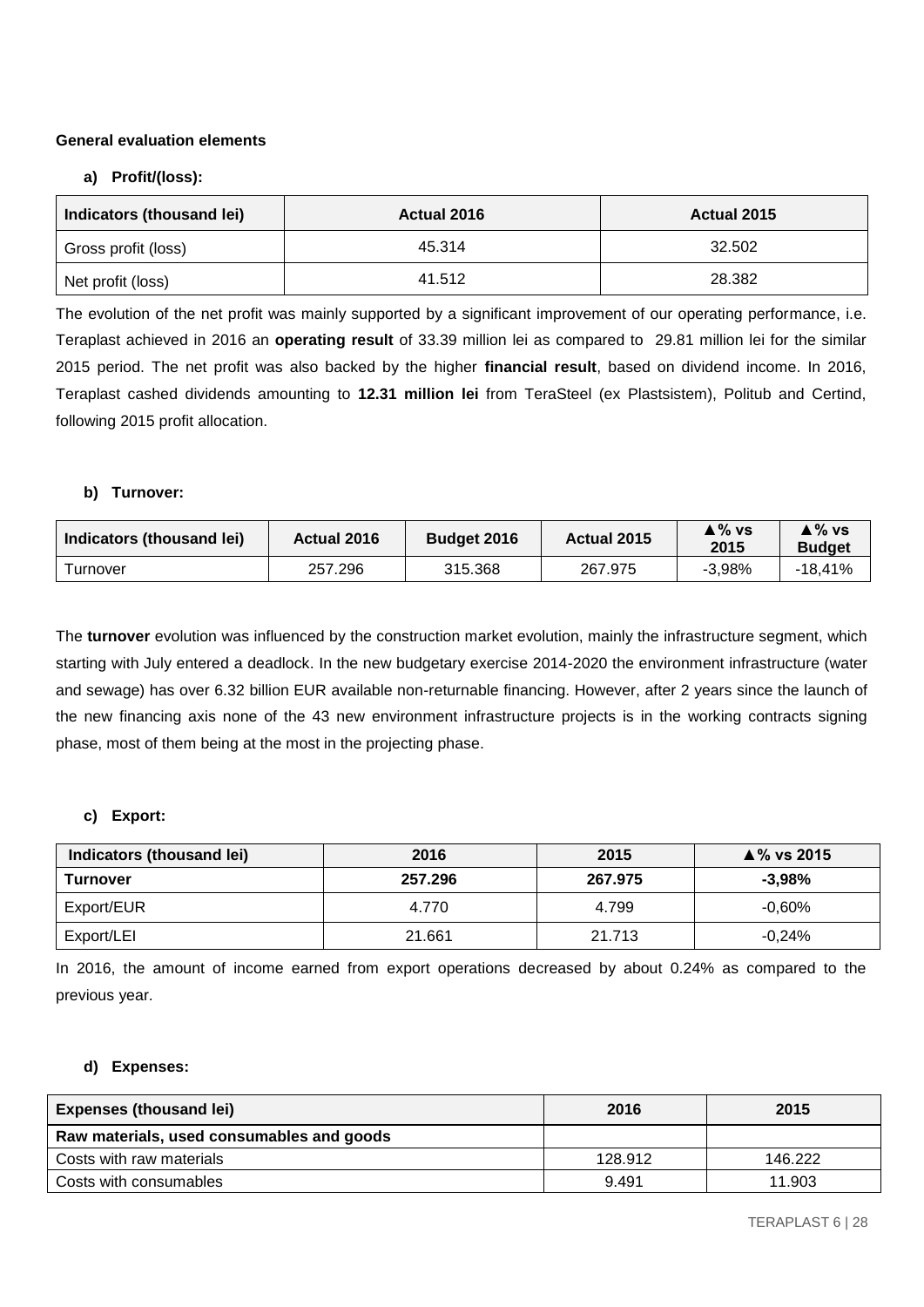# **General evaluation elements**

# **a) Profit/(loss):**

| Indicators (thousand lei) | Actual 2016 | Actual 2015 |
|---------------------------|-------------|-------------|
| Gross profit (loss)       | 45.314      | 32.502      |
| Net profit (loss)         | 41.512      | 28.382      |

The evolution of the net profit was mainly supported by a significant improvement of our operating performance, i.e. Teraplast achieved in 2016 an **operating result** of 33.39 million lei as compared to 29.81 million lei for the similar 2015 period. The net profit was also backed by the higher **financial result**, based on dividend income. In 2016, Teraplast cashed dividends amounting to **12.31 million lei** from TeraSteel (ex Plastsistem), Politub and Certind, following 2015 profit allocation.

# **b) Turnover:**

| Indicators (thousand lei) | Actual 2016 | <b>Budget 2016</b> | Actual 2015 | ≜ % vs<br>2015 | ≜% vs<br><b>Budget</b> |
|---------------------------|-------------|--------------------|-------------|----------------|------------------------|
| <b>Turnover</b>           | 257.296     | 315.368            | 267.975     | $-3.98%$       | -18.41%                |

The **turnover** evolution was influenced by the construction market evolution, mainly the infrastructure segment, which starting with July entered a deadlock. In the new budgetary exercise 2014-2020 the environment infrastructure (water and sewage) has over 6.32 billion EUR available non-returnable financing. However, after 2 years since the launch of the new financing axis none of the 43 new environment infrastructure projects is in the working contracts signing phase, most of them being at the most in the projecting phase.

# **c) Export:**

| Indicators (thousand lei) | 2016    | 2015    | $\triangle$ % vs 2015 |
|---------------------------|---------|---------|-----------------------|
| Turnover                  | 257.296 | 267.975 | $-3.98%$              |
| Export/EUR                | 4.770   | 4.799   | $-0.60\%$             |
| Export/LEI                | 21.661  | 21.713  | $-0.24%$              |

In 2016, the amount of income earned from export operations decreased by about 0.24% as compared to the previous year.

# **d) Expenses:**

| <b>Expenses (thousand lei)</b>            | 2016    | 2015    |
|-------------------------------------------|---------|---------|
| Raw materials, used consumables and goods |         |         |
| Costs with raw materials                  | 128.912 | 146.222 |
| Costs with consumables                    | 9.491   | 11.903  |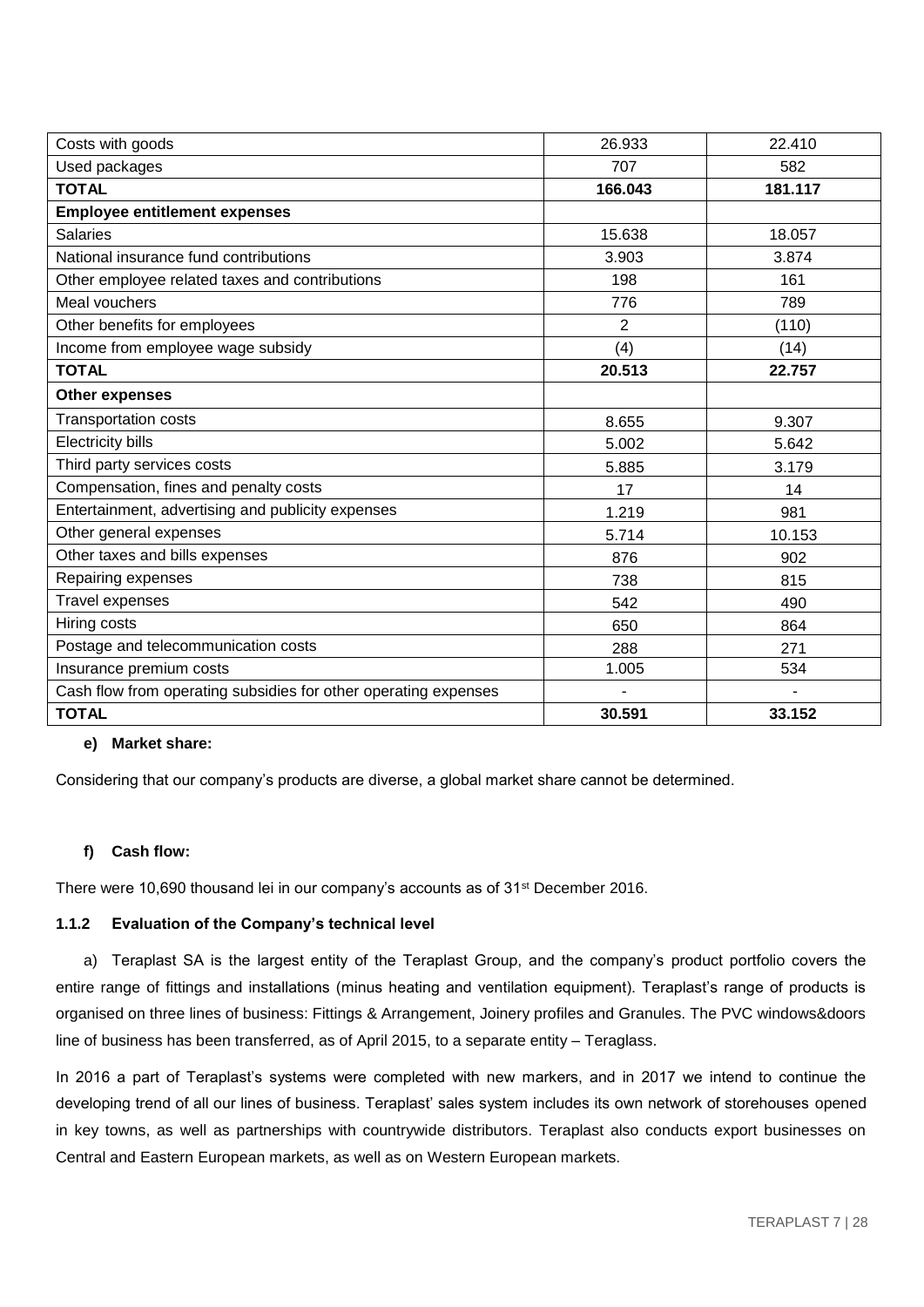| Costs with goods                                                | 26.933  | 22.410  |
|-----------------------------------------------------------------|---------|---------|
| Used packages                                                   | 707     | 582     |
| <b>TOTAL</b>                                                    | 166.043 | 181.117 |
| <b>Employee entitlement expenses</b>                            |         |         |
| <b>Salaries</b>                                                 | 15.638  | 18.057  |
| National insurance fund contributions                           | 3.903   | 3.874   |
| Other employee related taxes and contributions                  | 198     | 161     |
| Meal vouchers                                                   | 776     | 789     |
| Other benefits for employees                                    | 2       | (110)   |
| Income from employee wage subsidy                               | (4)     | (14)    |
| <b>TOTAL</b>                                                    | 20.513  | 22.757  |
| <b>Other expenses</b>                                           |         |         |
| <b>Transportation costs</b>                                     | 8.655   | 9.307   |
| <b>Electricity bills</b>                                        | 5.002   | 5.642   |
| Third party services costs                                      | 5.885   | 3.179   |
| Compensation, fines and penalty costs                           | 17      | 14      |
| Entertainment, advertising and publicity expenses               | 1.219   | 981     |
| Other general expenses                                          | 5.714   | 10.153  |
| Other taxes and bills expenses                                  | 876     | 902     |
| Repairing expenses                                              | 738     | 815     |
| <b>Travel expenses</b>                                          | 542     | 490     |
| Hiring costs                                                    | 650     | 864     |
| Postage and telecommunication costs                             | 288     | 271     |
| Insurance premium costs                                         | 1.005   | 534     |
| Cash flow from operating subsidies for other operating expenses |         |         |
| <b>TOTAL</b>                                                    | 30.591  | 33.152  |

# **e) Market share:**

Considering that our company's products are diverse, a global market share cannot be determined.

# **f) Cash flow:**

There were 10,690 thousand lei in our company's accounts as of 31<sup>st</sup> December 2016.

#### **1.1.2 Evaluation of the Company's technical level**

a) Teraplast SA is the largest entity of the Teraplast Group, and the company's product portfolio covers the entire range of fittings and installations (minus heating and ventilation equipment). Teraplast's range of products is organised on three lines of business: Fittings & Arrangement, Joinery profiles and Granules. The PVC windows&doors line of business has been transferred, as of April 2015, to a separate entity – Teraglass.

In 2016 a part of Teraplast's systems were completed with new markers, and in 2017 we intend to continue the developing trend of all our lines of business. Teraplast' sales system includes its own network of storehouses opened in key towns, as well as partnerships with countrywide distributors. Teraplast also conducts export businesses on Central and Eastern European markets, as well as on Western European markets.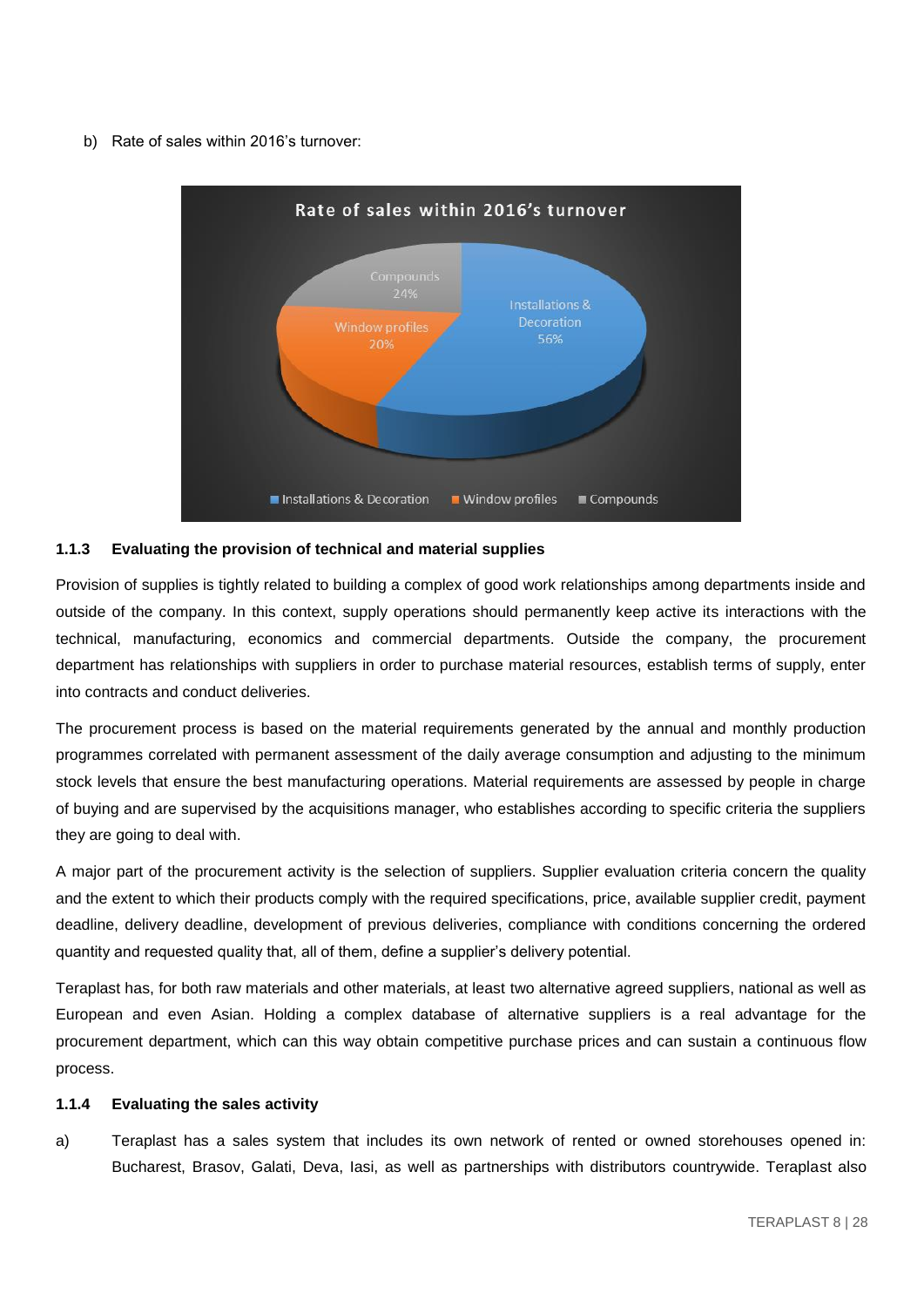b) Rate of sales within 2016's turnover:



#### **1.1.3 Evaluating the provision of technical and material supplies**

Provision of supplies is tightly related to building a complex of good work relationships among departments inside and outside of the company. In this context, supply operations should permanently keep active its interactions with the technical, manufacturing, economics and commercial departments. Outside the company, the procurement department has relationships with suppliers in order to purchase material resources, establish terms of supply, enter into contracts and conduct deliveries.

The procurement process is based on the material requirements generated by the annual and monthly production programmes correlated with permanent assessment of the daily average consumption and adjusting to the minimum stock levels that ensure the best manufacturing operations. Material requirements are assessed by people in charge of buying and are supervised by the acquisitions manager, who establishes according to specific criteria the suppliers they are going to deal with.

A major part of the procurement activity is the selection of suppliers. Supplier evaluation criteria concern the quality and the extent to which their products comply with the required specifications, price, available supplier credit, payment deadline, delivery deadline, development of previous deliveries, compliance with conditions concerning the ordered quantity and requested quality that, all of them, define a supplier's delivery potential.

Teraplast has, for both raw materials and other materials, at least two alternative agreed suppliers, national as well as European and even Asian. Holding a complex database of alternative suppliers is a real advantage for the procurement department, which can this way obtain competitive purchase prices and can sustain a continuous flow process.

#### **1.1.4 Evaluating the sales activity**

a) Teraplast has a sales system that includes its own network of rented or owned storehouses opened in: Bucharest, Brasov, Galati, Deva, Iasi, as well as partnerships with distributors countrywide. Teraplast also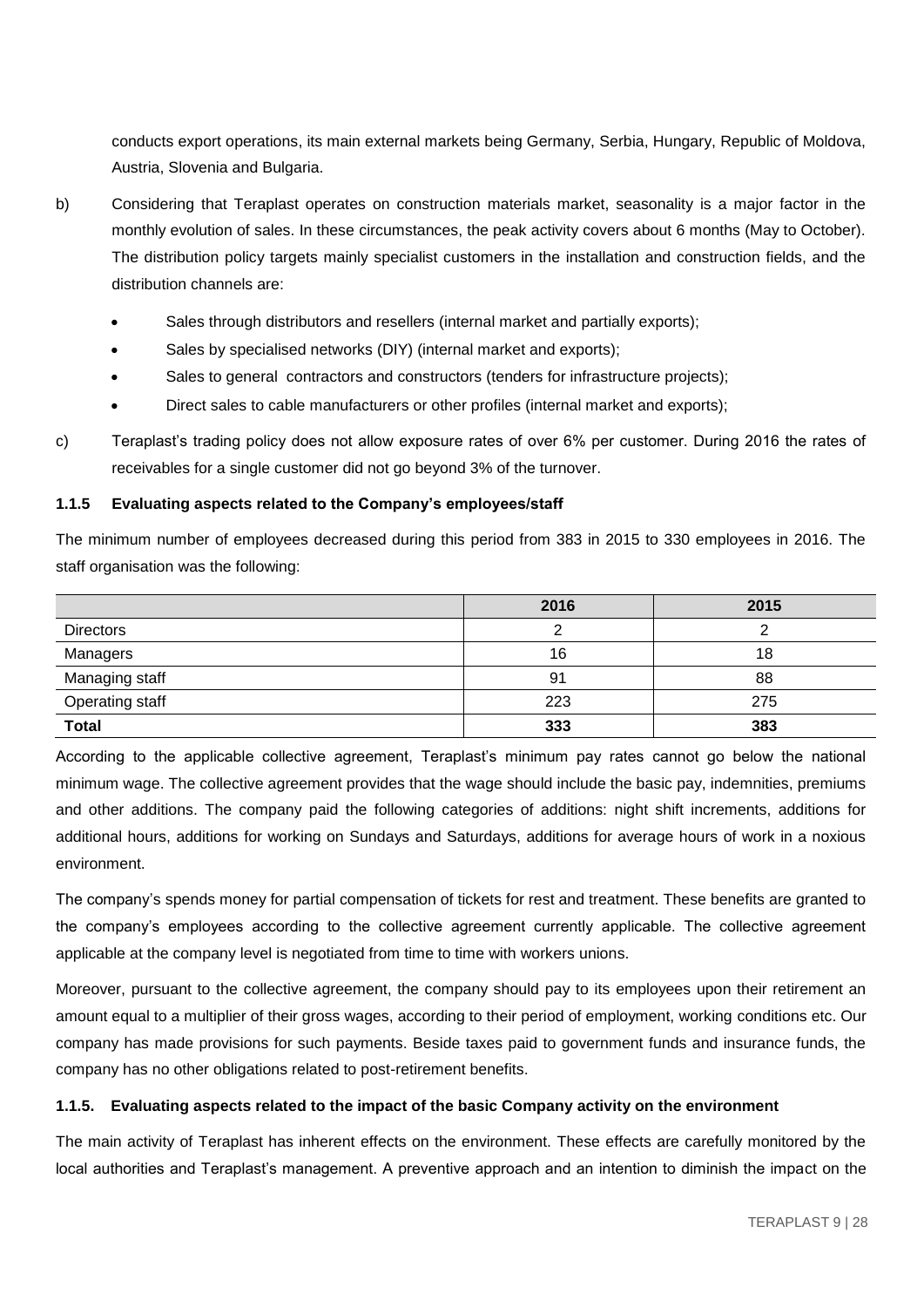conducts export operations, its main external markets being Germany, Serbia, Hungary, Republic of Moldova, Austria, Slovenia and Bulgaria.

- b) Considering that Teraplast operates on construction materials market, seasonality is a major factor in the monthly evolution of sales. In these circumstances, the peak activity covers about 6 months (May to October). The distribution policy targets mainly specialist customers in the installation and construction fields, and the distribution channels are:
	- Sales through distributors and resellers (internal market and partially exports);
	- Sales by specialised networks (DIY) (internal market and exports);
	- Sales to general contractors and constructors (tenders for infrastructure projects);
	- Direct sales to cable manufacturers or other profiles (internal market and exports);
- c) Teraplast's trading policy does not allow exposure rates of over 6% per customer. During 2016 the rates of receivables for a single customer did not go beyond 3% of the turnover.

# **1.1.5 Evaluating aspects related to the Company's employees/staff**

The minimum number of employees decreased during this period from 383 in 2015 to 330 employees in 2016. The staff organisation was the following:

|                        | 2016 | 2015 |
|------------------------|------|------|
| <b>Directors</b>       |      |      |
| Managers               | 16   | 18   |
| Managing staff         | 91   | 88   |
| <b>Operating staff</b> | 223  | 275  |
| <b>Total</b>           | 333  | 383  |

According to the applicable collective agreement, Teraplast's minimum pay rates cannot go below the national minimum wage. The collective agreement provides that the wage should include the basic pay, indemnities, premiums and other additions. The company paid the following categories of additions: night shift increments, additions for additional hours, additions for working on Sundays and Saturdays, additions for average hours of work in a noxious environment.

The company's spends money for partial compensation of tickets for rest and treatment. These benefits are granted to the company's employees according to the collective agreement currently applicable. The collective agreement applicable at the company level is negotiated from time to time with workers unions.

Moreover, pursuant to the collective agreement, the company should pay to its employees upon their retirement an amount equal to a multiplier of their gross wages, according to their period of employment, working conditions etc. Our company has made provisions for such payments. Beside taxes paid to government funds and insurance funds, the company has no other obligations related to post-retirement benefits.

#### **1.1.5. Evaluating aspects related to the impact of the basic Company activity on the environment**

The main activity of Teraplast has inherent effects on the environment. These effects are carefully monitored by the local authorities and Teraplast's management. A preventive approach and an intention to diminish the impact on the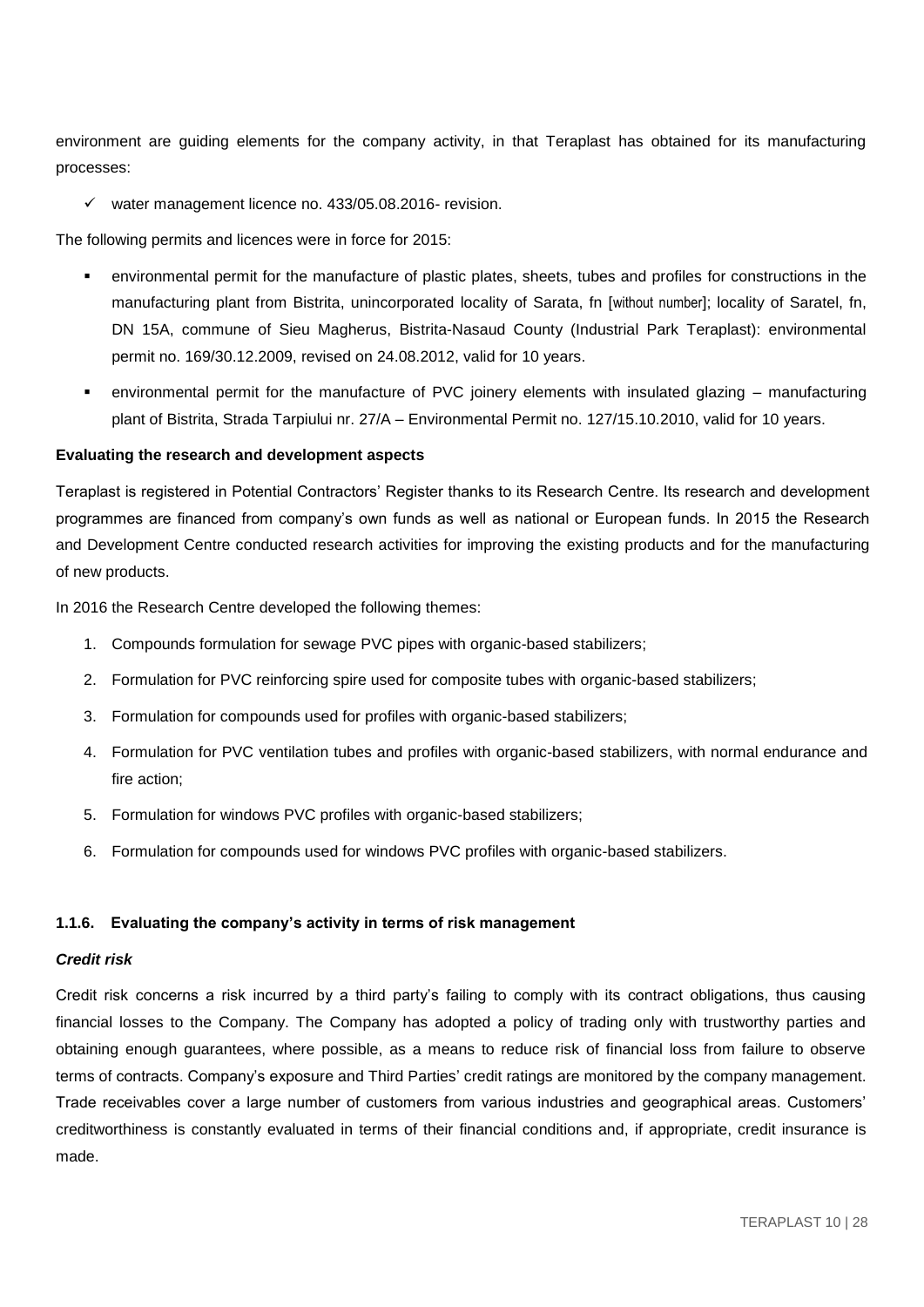environment are guiding elements for the company activity, in that Teraplast has obtained for its manufacturing processes:

 $\checkmark$  water management licence no. 433/05.08.2016- revision.

The following permits and licences were in force for 2015:

- environmental permit for the manufacture of plastic plates, sheets, tubes and profiles for constructions in the manufacturing plant from Bistrita, unincorporated locality of Sarata, fn [without number]; locality of Saratel, fn, DN 15A, commune of Sieu Magherus, Bistrita-Nasaud County (Industrial Park Teraplast): environmental permit no. 169/30.12.2009, revised on 24.08.2012, valid for 10 years.
- environmental permit for the manufacture of PVC joinery elements with insulated glazing manufacturing plant of Bistrita, Strada Tarpiului nr. 27/A – Environmental Permit no. 127/15.10.2010, valid for 10 years.

#### **Evaluating the research and development aspects**

Teraplast is registered in Potential Contractors' Register thanks to its Research Centre. Its research and development programmes are financed from company's own funds as well as national or European funds. In 2015 the Research and Development Centre conducted research activities for improving the existing products and for the manufacturing of new products.

In 2016 the Research Centre developed the following themes:

- 1. Compounds formulation for sewage PVC pipes with organic-based stabilizers;
- 2. Formulation for PVC reinforcing spire used for composite tubes with organic-based stabilizers;
- 3. Formulation for compounds used for profiles with organic-based stabilizers;
- 4. Formulation for PVC ventilation tubes and profiles with organic-based stabilizers, with normal endurance and fire action;
- 5. Formulation for windows PVC profiles with organic-based stabilizers;
- 6. Formulation for compounds used for windows PVC profiles with organic-based stabilizers.

#### **1.1.6. Evaluating the company's activity in terms of risk management**

#### *Credit risk*

Credit risk concerns a risk incurred by a third party's failing to comply with its contract obligations, thus causing financial losses to the Company. The Company has adopted a policy of trading only with trustworthy parties and obtaining enough guarantees, where possible, as a means to reduce risk of financial loss from failure to observe terms of contracts. Company's exposure and Third Parties' credit ratings are monitored by the company management. Trade receivables cover a large number of customers from various industries and geographical areas. Customers' creditworthiness is constantly evaluated in terms of their financial conditions and, if appropriate, credit insurance is made.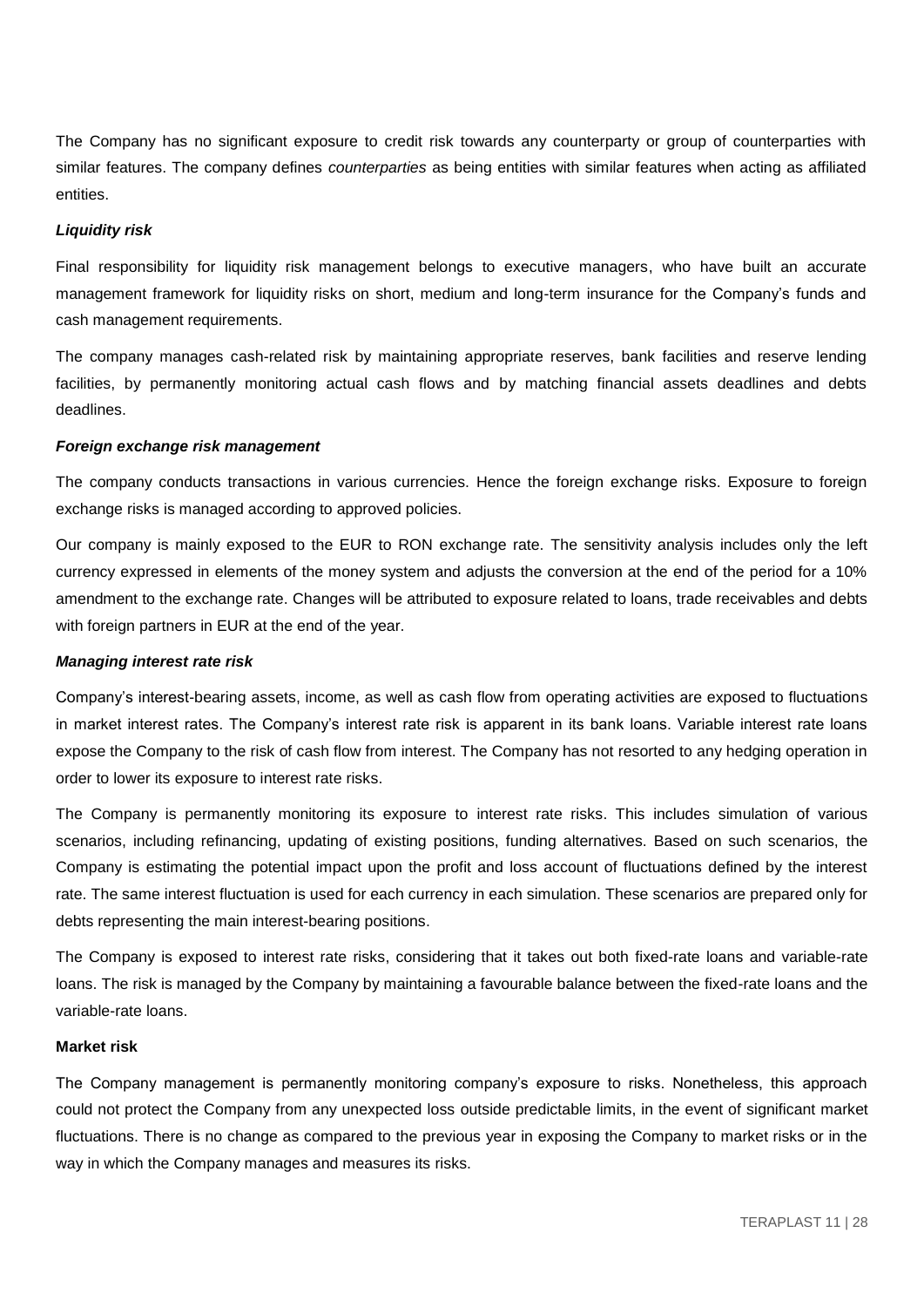The Company has no significant exposure to credit risk towards any counterparty or group of counterparties with similar features. The company defines *counterparties* as being entities with similar features when acting as affiliated entities.

#### *Liquidity risk*

Final responsibility for liquidity risk management belongs to executive managers, who have built an accurate management framework for liquidity risks on short, medium and long-term insurance for the Company's funds and cash management requirements.

The company manages cash-related risk by maintaining appropriate reserves, bank facilities and reserve lending facilities, by permanently monitoring actual cash flows and by matching financial assets deadlines and debts deadlines.

#### *Foreign exchange risk management*

The company conducts transactions in various currencies. Hence the foreign exchange risks. Exposure to foreign exchange risks is managed according to approved policies.

Our company is mainly exposed to the EUR to RON exchange rate. The sensitivity analysis includes only the left currency expressed in elements of the money system and adjusts the conversion at the end of the period for a 10% amendment to the exchange rate. Changes will be attributed to exposure related to loans, trade receivables and debts with foreign partners in EUR at the end of the year.

#### *Managing interest rate risk*

Company's interest-bearing assets, income, as well as cash flow from operating activities are exposed to fluctuations in market interest rates. The Company's interest rate risk is apparent in its bank loans. Variable interest rate loans expose the Company to the risk of cash flow from interest. The Company has not resorted to any hedging operation in order to lower its exposure to interest rate risks.

The Company is permanently monitoring its exposure to interest rate risks. This includes simulation of various scenarios, including refinancing, updating of existing positions, funding alternatives. Based on such scenarios, the Company is estimating the potential impact upon the profit and loss account of fluctuations defined by the interest rate. The same interest fluctuation is used for each currency in each simulation. These scenarios are prepared only for debts representing the main interest-bearing positions.

The Company is exposed to interest rate risks, considering that it takes out both fixed-rate loans and variable-rate loans. The risk is managed by the Company by maintaining a favourable balance between the fixed-rate loans and the variable-rate loans.

#### **Market risk**

The Company management is permanently monitoring company's exposure to risks. Nonetheless, this approach could not protect the Company from any unexpected loss outside predictable limits, in the event of significant market fluctuations. There is no change as compared to the previous year in exposing the Company to market risks or in the way in which the Company manages and measures its risks.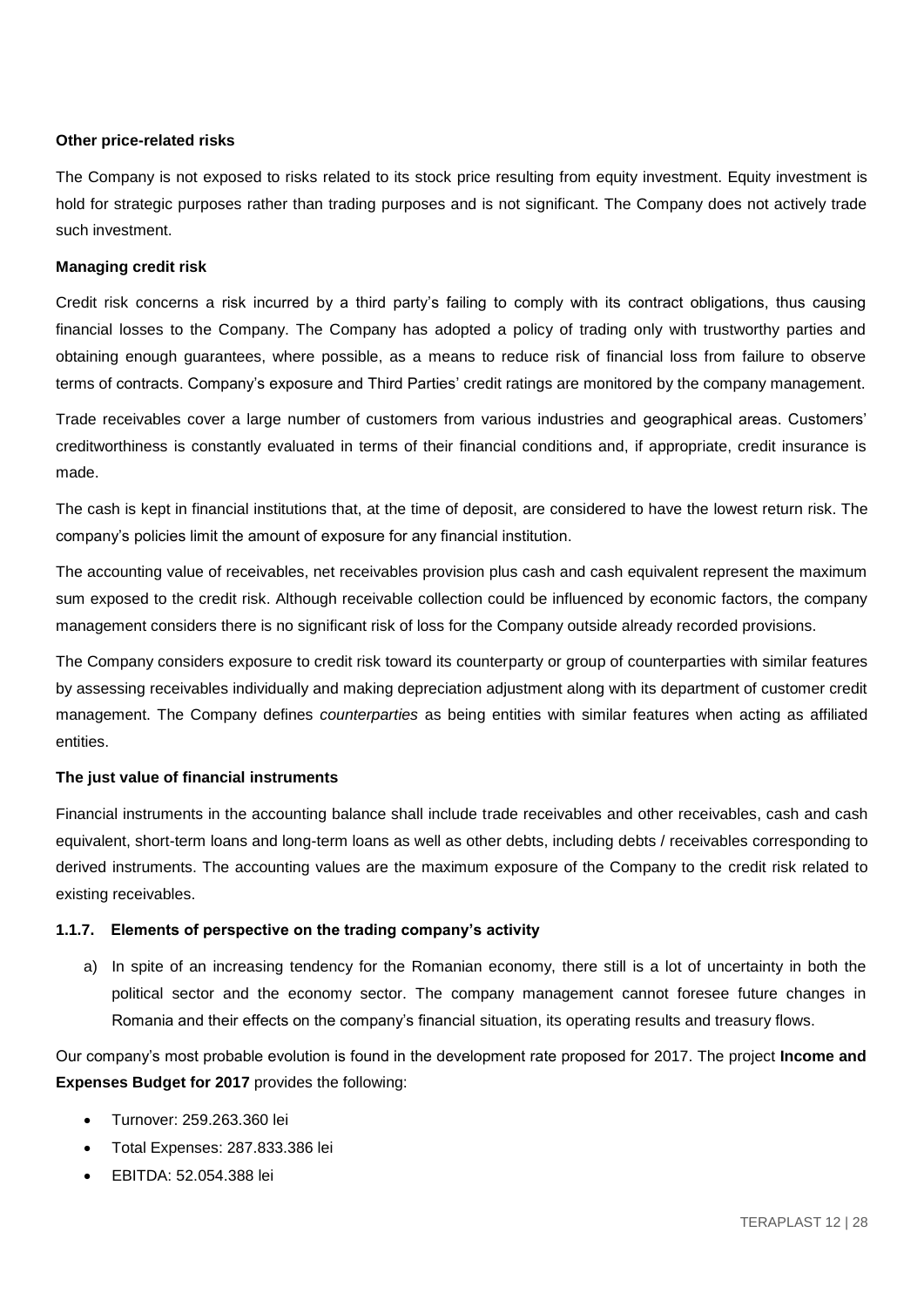### **Other price-related risks**

The Company is not exposed to risks related to its stock price resulting from equity investment. Equity investment is hold for strategic purposes rather than trading purposes and is not significant. The Company does not actively trade such investment.

#### **Managing credit risk**

Credit risk concerns a risk incurred by a third party's failing to comply with its contract obligations, thus causing financial losses to the Company. The Company has adopted a policy of trading only with trustworthy parties and obtaining enough guarantees, where possible, as a means to reduce risk of financial loss from failure to observe terms of contracts. Company's exposure and Third Parties' credit ratings are monitored by the company management.

Trade receivables cover a large number of customers from various industries and geographical areas. Customers' creditworthiness is constantly evaluated in terms of their financial conditions and, if appropriate, credit insurance is made.

The cash is kept in financial institutions that, at the time of deposit, are considered to have the lowest return risk. The company's policies limit the amount of exposure for any financial institution.

The accounting value of receivables, net receivables provision plus cash and cash equivalent represent the maximum sum exposed to the credit risk. Although receivable collection could be influenced by economic factors, the company management considers there is no significant risk of loss for the Company outside already recorded provisions.

The Company considers exposure to credit risk toward its counterparty or group of counterparties with similar features by assessing receivables individually and making depreciation adjustment along with its department of customer credit management. The Company defines *counterparties* as being entities with similar features when acting as affiliated entities.

#### **The just value of financial instruments**

Financial instruments in the accounting balance shall include trade receivables and other receivables, cash and cash equivalent, short-term loans and long-term loans as well as other debts, including debts / receivables corresponding to derived instruments. The accounting values are the maximum exposure of the Company to the credit risk related to existing receivables.

#### **1.1.7. Elements of perspective on the trading company's activity**

a) In spite of an increasing tendency for the Romanian economy, there still is a lot of uncertainty in both the political sector and the economy sector. The company management cannot foresee future changes in Romania and their effects on the company's financial situation, its operating results and treasury flows.

Our company's most probable evolution is found in the development rate proposed for 2017. The project **Income and Expenses Budget for 2017** provides the following:

- Turnover: 259.263.360 lei
- Total Expenses: 287.833.386 lei
- EBITDA: 52.054.388 lei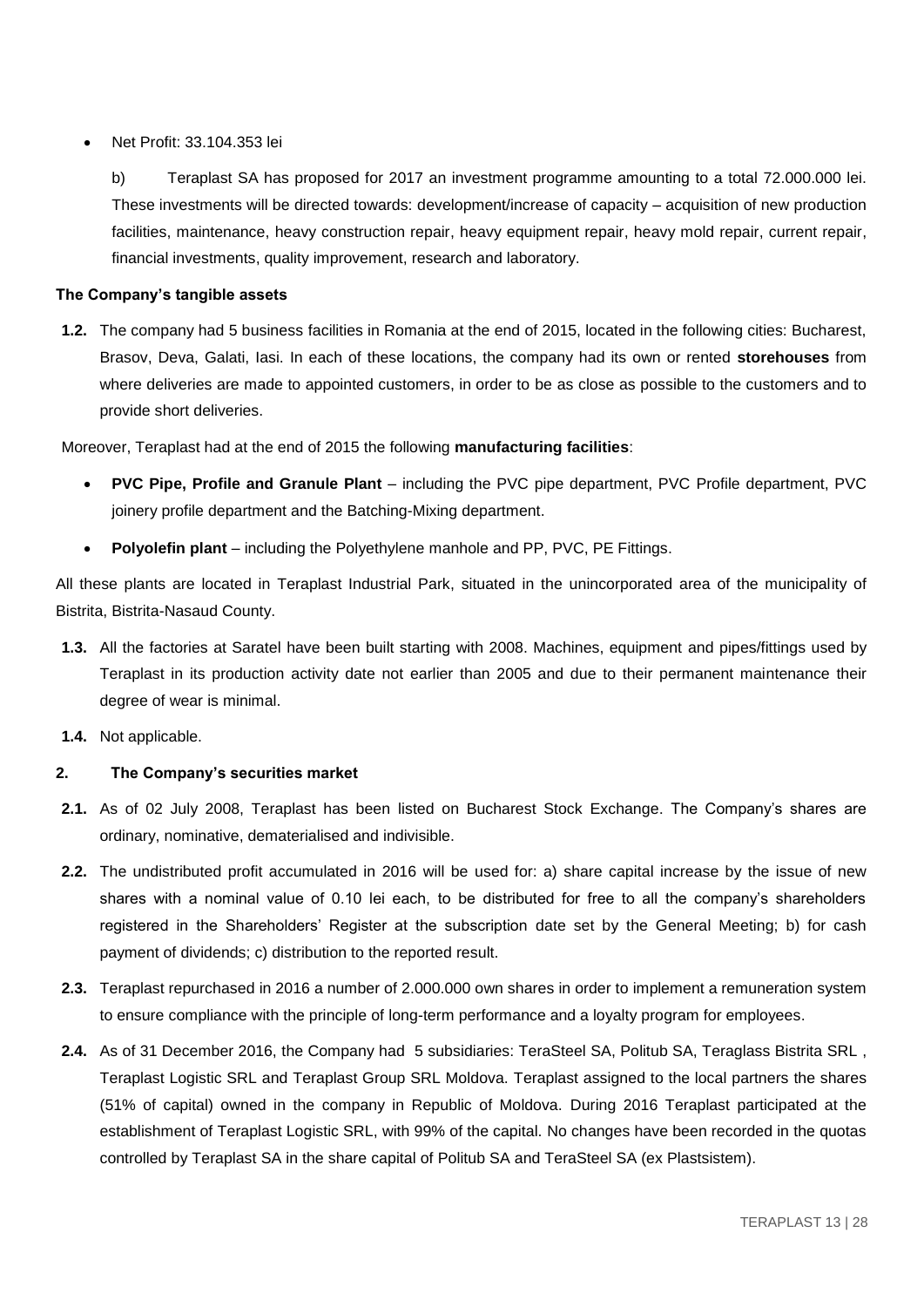#### Net Profit: 33.104.353 lei

b) Teraplast SA has proposed for 2017 an investment programme amounting to a total 72.000.000 lei. These investments will be directed towards: development/increase of capacity – acquisition of new production facilities, maintenance, heavy construction repair, heavy equipment repair, heavy mold repair, current repair, financial investments, quality improvement, research and laboratory.

#### **The Company's tangible assets**

**1.2.** The company had 5 business facilities in Romania at the end of 2015, located in the following cities: Bucharest, Brasov, Deva, Galati, Iasi. In each of these locations, the company had its own or rented **storehouses** from where deliveries are made to appointed customers, in order to be as close as possible to the customers and to provide short deliveries.

Moreover, Teraplast had at the end of 2015 the following **manufacturing facilities**:

- **PVC Pipe, Profile and Granule Plant including the PVC pipe department, PVC Profile department, PVC** joinery profile department and the Batching-Mixing department.
- **Polyolefin plant** including the Polyethylene manhole and PP, PVC, PE Fittings.

All these plants are located in Teraplast Industrial Park, situated in the unincorporated area of the municipality of Bistrita, Bistrita-Nasaud County.

- **1.3.** All the factories at Saratel have been built starting with 2008. Machines, equipment and pipes/fittings used by Teraplast in its production activity date not earlier than 2005 and due to their permanent maintenance their degree of wear is minimal.
- **1.4.** Not applicable.

# **2. The Company's securities market**

- **2.1.** As of 02 July 2008, Teraplast has been listed on Bucharest Stock Exchange. The Company's shares are ordinary, nominative, dematerialised and indivisible.
- **2.2.** The undistributed profit accumulated in 2016 will be used for: a) share capital increase by the issue of new shares with a nominal value of 0.10 lei each, to be distributed for free to all the company's shareholders registered in the Shareholders' Register at the subscription date set by the General Meeting; b) for cash payment of dividends; c) distribution to the reported result.
- **2.3.** Teraplast repurchased in 2016 a number of 2.000.000 own shares in order to implement a remuneration system to ensure compliance with the principle of long-term performance and a loyalty program for employees.
- **2.4.** As of 31 December 2016, the Company had 5 subsidiaries: TeraSteel SA, Politub SA, Teraglass Bistrita SRL , Teraplast Logistic SRL and Teraplast Group SRL Moldova. Teraplast assigned to the local partners the shares (51% of capital) owned in the company in Republic of Moldova. During 2016 Teraplast participated at the establishment of Teraplast Logistic SRL, with 99% of the capital. No changes have been recorded in the quotas controlled by Teraplast SA in the share capital of Politub SA and TeraSteel SA (ex Plastsistem).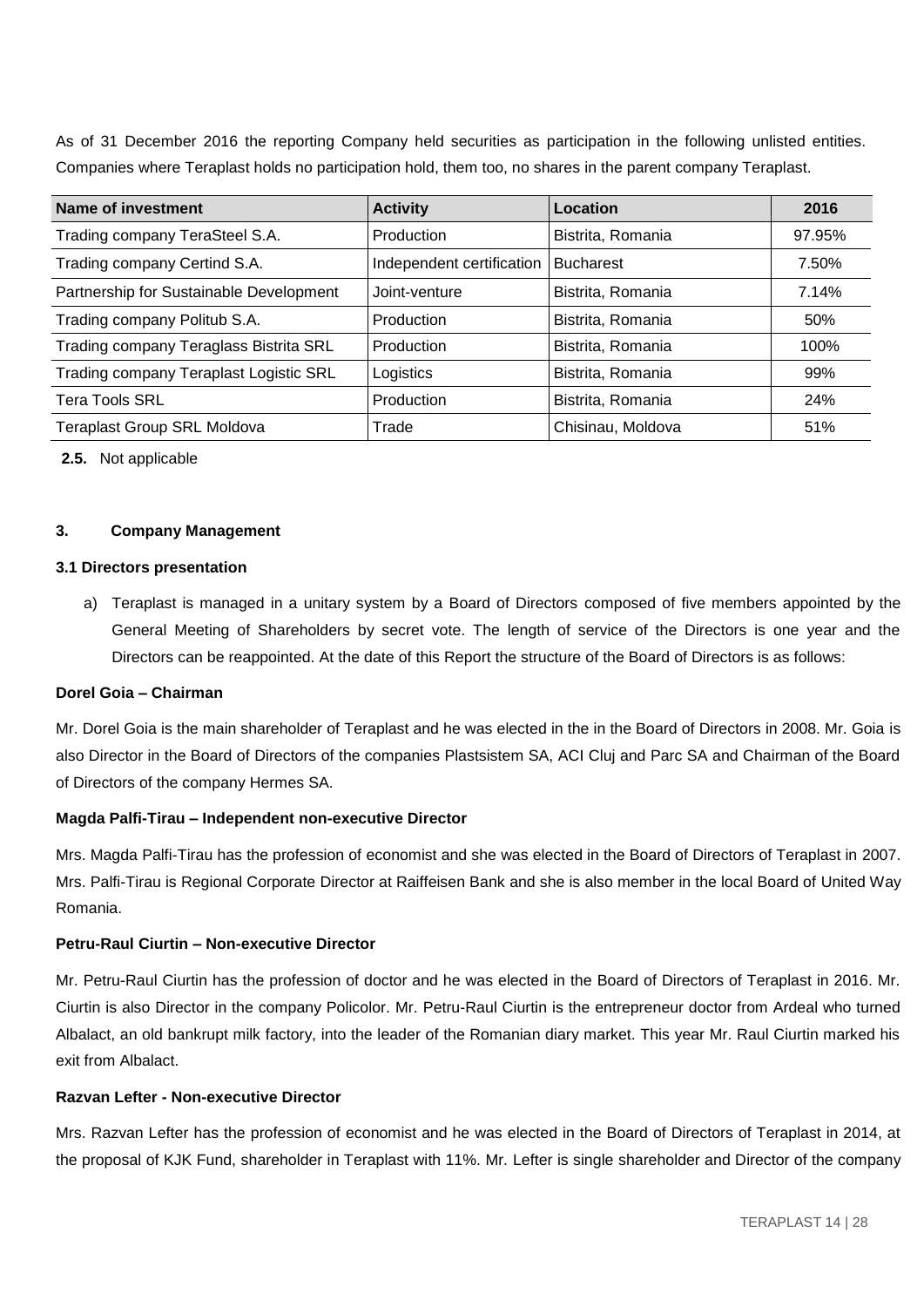As of 31 December 2016 the reporting Company held securities as participation in the following unlisted entities. Companies where Teraplast holds no participation hold, them too, no shares in the parent company Teraplast.

| Name of investment                      | <b>Activity</b>           | Location          | 2016   |
|-----------------------------------------|---------------------------|-------------------|--------|
| Trading company TeraSteel S.A.          | Production                | Bistrita, Romania | 97.95% |
| Trading company Certind S.A.            | Independent certification | <b>Bucharest</b>  | 7.50%  |
| Partnership for Sustainable Development | Joint-venture             | Bistrita, Romania | 7.14%  |
| Trading company Politub S.A.            | Production                | Bistrita, Romania | 50%    |
| Trading company Teraglass Bistrita SRL  | Production                | Bistrita, Romania | 100%   |
| Trading company Teraplast Logistic SRL  | Logistics                 | Bistrita, Romania | 99%    |
| <b>Tera Tools SRL</b>                   | Production                | Bistrita, Romania | 24%    |
| <b>Teraplast Group SRL Moldova</b>      | Trade                     | Chisinau, Moldova | 51%    |

**2.5.** Not applicable

# **3. Company Management**

#### **3.1 Directors presentation**

a) Teraplast is managed in a unitary system by a Board of Directors composed of five members appointed by the General Meeting of Shareholders by secret vote. The length of service of the Directors is one year and the Directors can be reappointed. At the date of this Report the structure of the Board of Directors is as follows:

#### **Dorel Goia – Chairman**

Mr. Dorel Goia is the main shareholder of Teraplast and he was elected in the in the Board of Directors in 2008. Mr. Goia is also Director in the Board of Directors of the companies Plastsistem SA, ACI Cluj and Parc SA and Chairman of the Board of Directors of the company Hermes SA.

#### **Magda Palfi-Tirau – Independent non-executive Director**

Mrs. Magda Palfi-Tirau has the profession of economist and she was elected in the Board of Directors of Teraplast in 2007. Mrs. Palfi-Tirau is Regional Corporate Director at Raiffeisen Bank and she is also member in the local Board of United Way Romania.

#### **Petru-Raul Ciurtin – Non-executive Director**

Mr. Petru-Raul Ciurtin has the profession of doctor and he was elected in the Board of Directors of Teraplast in 2016. Mr. Ciurtin is also Director in the company Policolor. Mr. Petru-Raul Ciurtin is the entrepreneur doctor from Ardeal who turned Albalact, an old bankrupt milk factory, into the leader of the Romanian diary market. This year Mr. Raul Ciurtin marked his exit from Albalact.

### **Razvan Lefter - Non-executive Director**

Mrs. Razvan Lefter has the profession of economist and he was elected in the Board of Directors of Teraplast in 2014, at the proposal of KJK Fund, shareholder in Teraplast with 11%. Mr. Lefter is single shareholder and Director of the company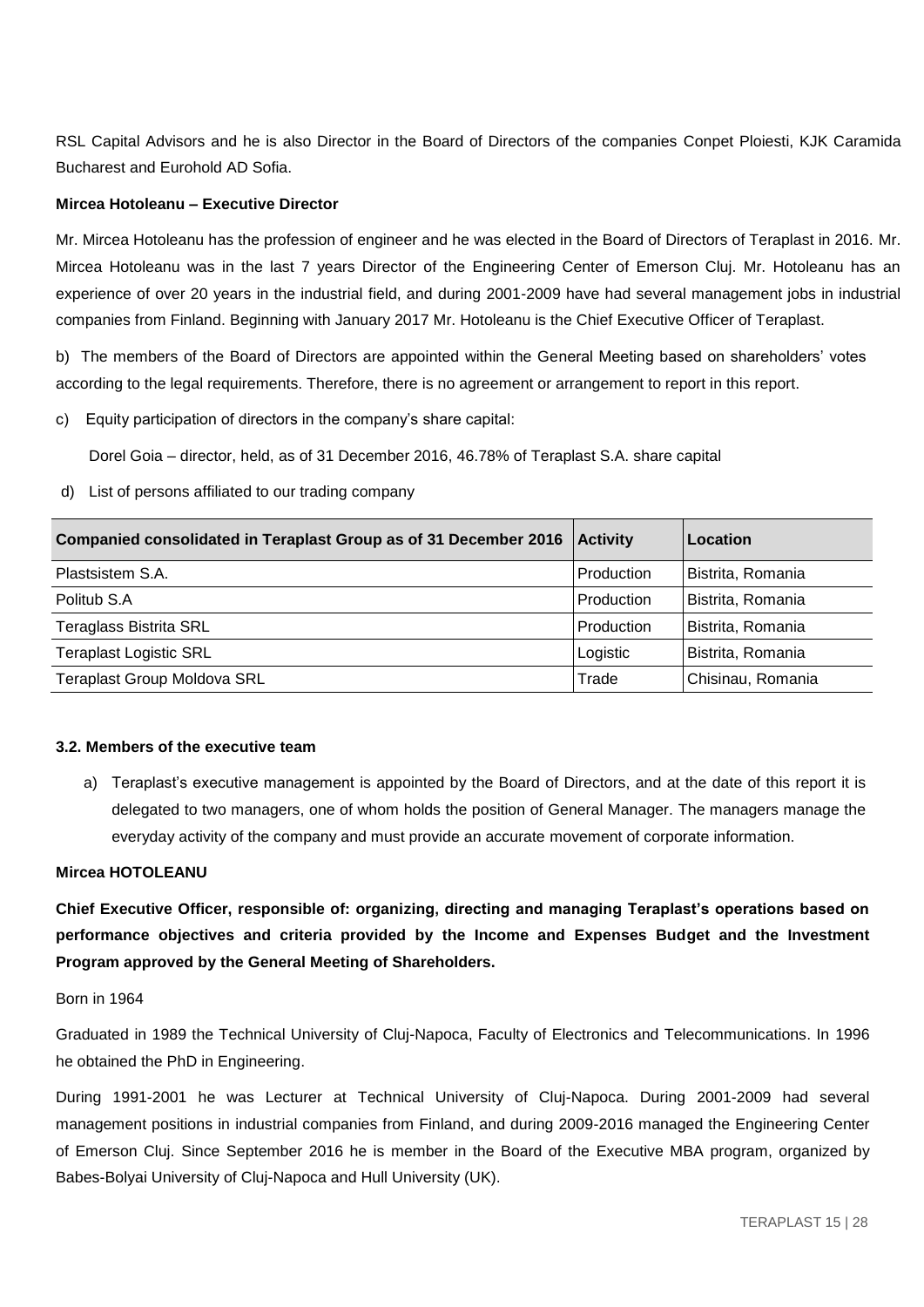RSL Capital Advisors and he is also Director in the Board of Directors of the companies Conpet Ploiesti, KJK Caramida Bucharest and Eurohold AD Sofia.

#### **Mircea Hotoleanu – Executive Director**

Mr. Mircea Hotoleanu has the profession of engineer and he was elected in the Board of Directors of Teraplast in 2016. Mr. Mircea Hotoleanu was in the last 7 years Director of the Engineering Center of Emerson Cluj. Mr. Hotoleanu has an experience of over 20 years in the industrial field, and during 2001-2009 have had several management jobs in industrial companies from Finland. Beginning with January 2017 Mr. Hotoleanu is the Chief Executive Officer of Teraplast.

b) The members of the Board of Directors are appointed within the General Meeting based on shareholders' votes according to the legal requirements. Therefore, there is no agreement or arrangement to report in this report.

c) Equity participation of directors in the company's share capital:

Dorel Goia – director, held, as of 31 December 2016, 46.78% of Teraplast S.A. share capital

d) List of persons affiliated to our trading company

| Companied consolidated in Teraplast Group as of 31 December 2016   Activity |            | Location          |
|-----------------------------------------------------------------------------|------------|-------------------|
| Plastsistem S.A.                                                            | Production | Bistrita, Romania |
| Politub S.A                                                                 | Production | Bistrita, Romania |
| Teraglass Bistrita SRL                                                      | Production | Bistrita, Romania |
| <b>Teraplast Logistic SRL</b>                                               | Logistic   | Bistrita, Romania |
| <b>Teraplast Group Moldova SRL</b>                                          | Trade      | Chisinau, Romania |

#### **3.2. Members of the executive team**

a) Teraplast's executive management is appointed by the Board of Directors, and at the date of this report it is delegated to two managers, one of whom holds the position of General Manager. The managers manage the everyday activity of the company and must provide an accurate movement of corporate information.

#### **Mircea HOTOLEANU**

**Chief Executive Officer, responsible of: organizing, directing and managing Teraplast's operations based on performance objectives and criteria provided by the Income and Expenses Budget and the Investment Program approved by the General Meeting of Shareholders.**

Born in 1964

Graduated in 1989 the Technical University of Cluj-Napoca, Faculty of Electronics and Telecommunications. In 1996 he obtained the PhD in Engineering.

During 1991-2001 he was Lecturer at Technical University of Cluj-Napoca. During 2001-2009 had several management positions in industrial companies from Finland, and during 2009-2016 managed the Engineering Center of Emerson Cluj. Since September 2016 he is member in the Board of the Executive MBA program, organized by Babes-Bolyai University of Cluj-Napoca and Hull University (UK).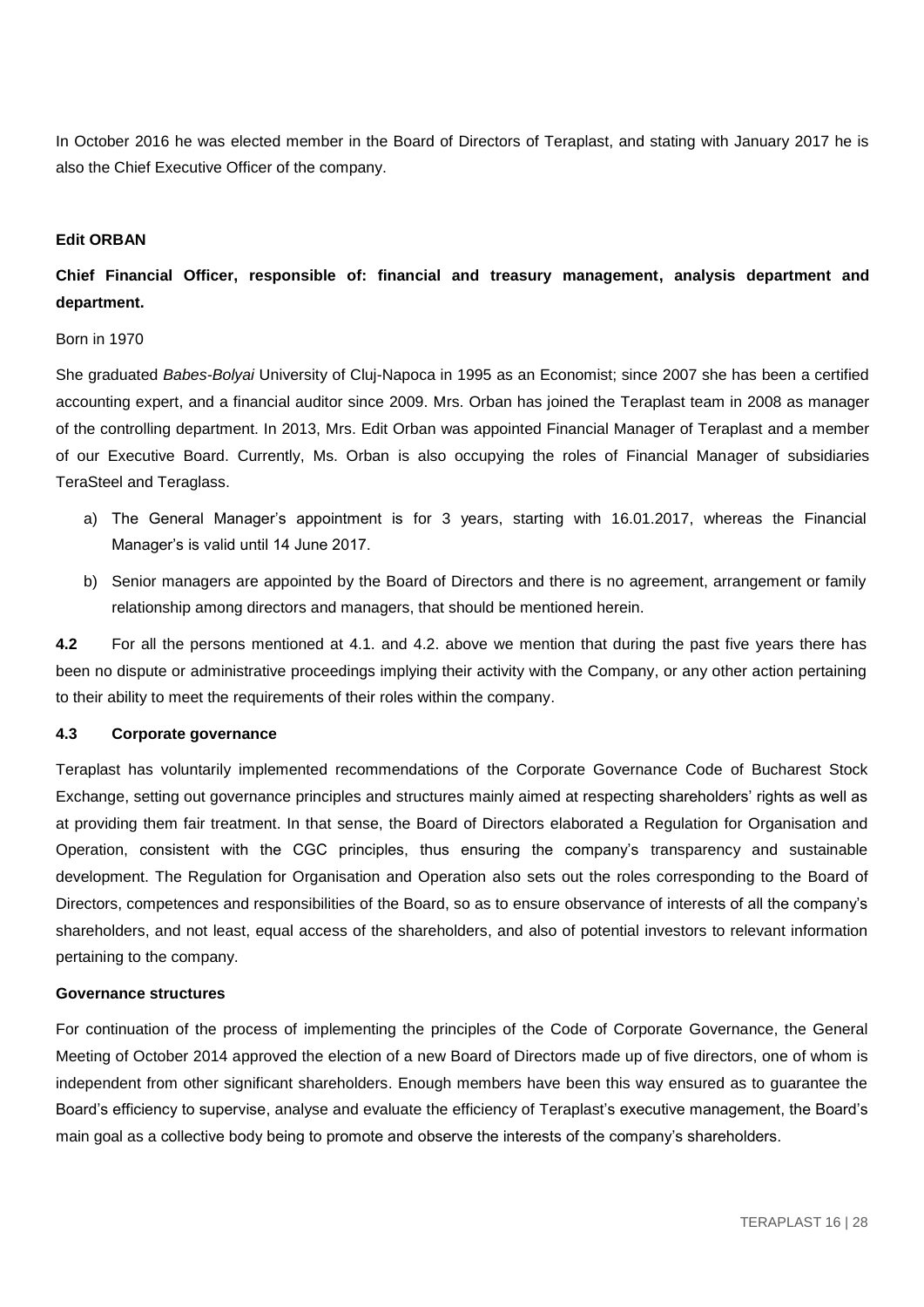In October 2016 he was elected member in the Board of Directors of Teraplast, and stating with January 2017 he is also the Chief Executive Officer of the company.

#### **Edit ORBAN**

# **Chief Financial Officer, responsible of: financial and treasury management, analysis department and department.**

#### Born in 1970

She graduated *Babes-Bolyai* University of Cluj-Napoca in 1995 as an Economist; since 2007 she has been a certified accounting expert, and a financial auditor since 2009. Mrs. Orban has joined the Teraplast team in 2008 as manager of the controlling department. In 2013, Mrs. Edit Orban was appointed Financial Manager of Teraplast and a member of our Executive Board. Currently, Ms. Orban is also occupying the roles of Financial Manager of subsidiaries TeraSteel and Teraglass.

- a) The General Manager's appointment is for 3 years, starting with 16.01.2017, whereas the Financial Manager's is valid until 14 June 2017.
- b) Senior managers are appointed by the Board of Directors and there is no agreement, arrangement or family relationship among directors and managers, that should be mentioned herein.

**4.2** For all the persons mentioned at 4.1. and 4.2. above we mention that during the past five years there has been no dispute or administrative proceedings implying their activity with the Company, or any other action pertaining to their ability to meet the requirements of their roles within the company.

#### **4.3 Corporate governance**

Teraplast has voluntarily implemented recommendations of the Corporate Governance Code of Bucharest Stock Exchange, setting out governance principles and structures mainly aimed at respecting shareholders' rights as well as at providing them fair treatment. In that sense, the Board of Directors elaborated a Regulation for Organisation and Operation, consistent with the CGC principles, thus ensuring the company's transparency and sustainable development. The Regulation for Organisation and Operation also sets out the roles corresponding to the Board of Directors, competences and responsibilities of the Board, so as to ensure observance of interests of all the company's shareholders, and not least, equal access of the shareholders, and also of potential investors to relevant information pertaining to the company.

#### **Governance structures**

For continuation of the process of implementing the principles of the Code of Corporate Governance, the General Meeting of October 2014 approved the election of a new Board of Directors made up of five directors, one of whom is independent from other significant shareholders. Enough members have been this way ensured as to guarantee the Board's efficiency to supervise, analyse and evaluate the efficiency of Teraplast's executive management, the Board's main goal as a collective body being to promote and observe the interests of the company's shareholders.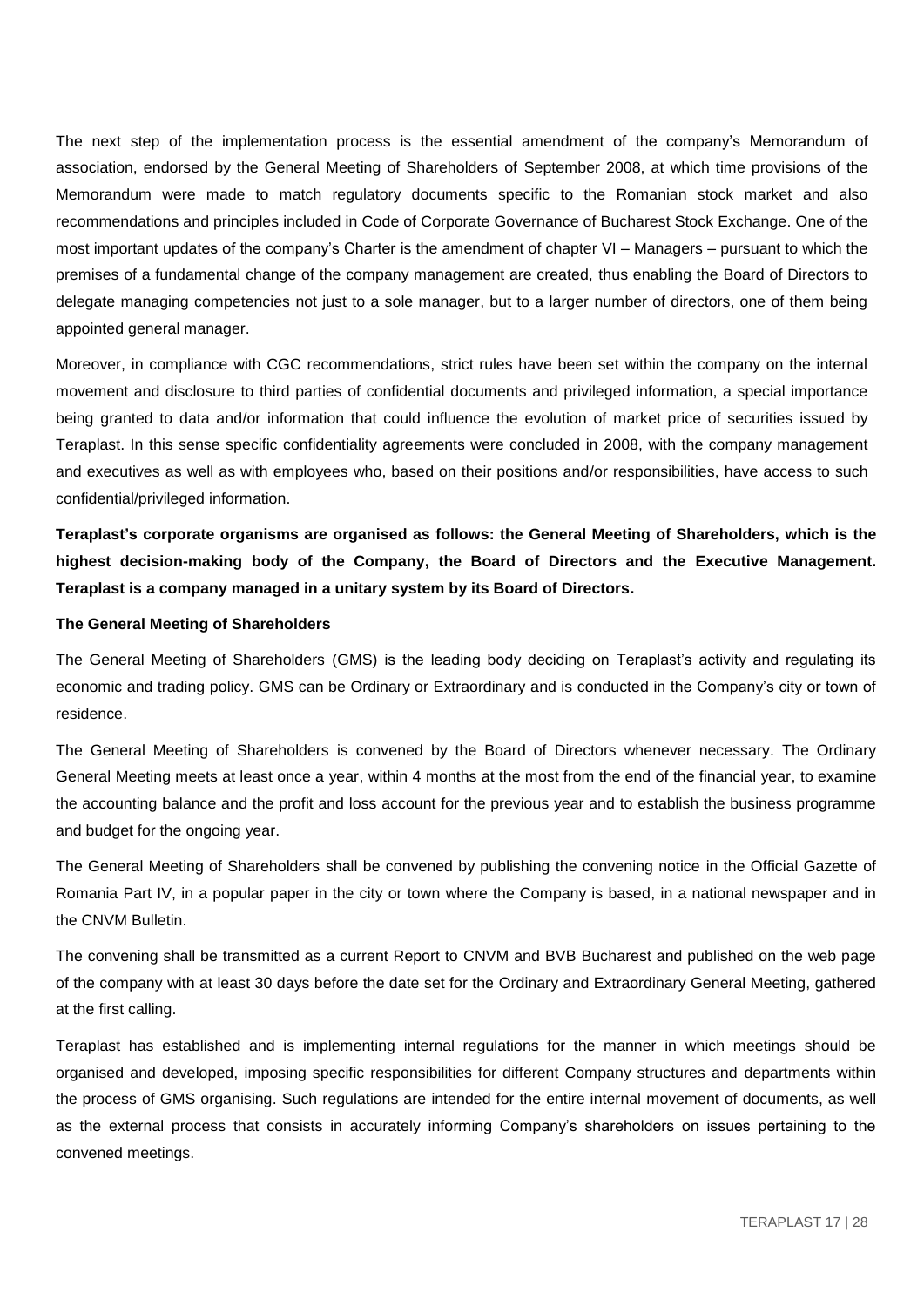The next step of the implementation process is the essential amendment of the company's Memorandum of association, endorsed by the General Meeting of Shareholders of September 2008, at which time provisions of the Memorandum were made to match regulatory documents specific to the Romanian stock market and also recommendations and principles included in Code of Corporate Governance of Bucharest Stock Exchange. One of the most important updates of the company's Charter is the amendment of chapter VI – Managers – pursuant to which the premises of a fundamental change of the company management are created, thus enabling the Board of Directors to delegate managing competencies not just to a sole manager, but to a larger number of directors, one of them being appointed general manager.

Moreover, in compliance with CGC recommendations, strict rules have been set within the company on the internal movement and disclosure to third parties of confidential documents and privileged information, a special importance being granted to data and/or information that could influence the evolution of market price of securities issued by Teraplast. In this sense specific confidentiality agreements were concluded in 2008, with the company management and executives as well as with employees who, based on their positions and/or responsibilities, have access to such confidential/privileged information.

**Teraplast's corporate organisms are organised as follows: the General Meeting of Shareholders, which is the highest decision-making body of the Company, the Board of Directors and the Executive Management. Teraplast is a company managed in a unitary system by its Board of Directors.**

#### **The General Meeting of Shareholders**

The General Meeting of Shareholders (GMS) is the leading body deciding on Teraplast's activity and regulating its economic and trading policy. GMS can be Ordinary or Extraordinary and is conducted in the Company's city or town of residence.

The General Meeting of Shareholders is convened by the Board of Directors whenever necessary. The Ordinary General Meeting meets at least once a year, within 4 months at the most from the end of the financial year, to examine the accounting balance and the profit and loss account for the previous year and to establish the business programme and budget for the ongoing year.

The General Meeting of Shareholders shall be convened by publishing the convening notice in the Official Gazette of Romania Part IV, in a popular paper in the city or town where the Company is based, in a national newspaper and in the CNVM Bulletin.

The convening shall be transmitted as a current Report to CNVM and BVB Bucharest and published on the web page of the company with at least 30 days before the date set for the Ordinary and Extraordinary General Meeting, gathered at the first calling.

Teraplast has established and is implementing internal regulations for the manner in which meetings should be organised and developed, imposing specific responsibilities for different Company structures and departments within the process of GMS organising. Such regulations are intended for the entire internal movement of documents, as well as the external process that consists in accurately informing Company's shareholders on issues pertaining to the convened meetings.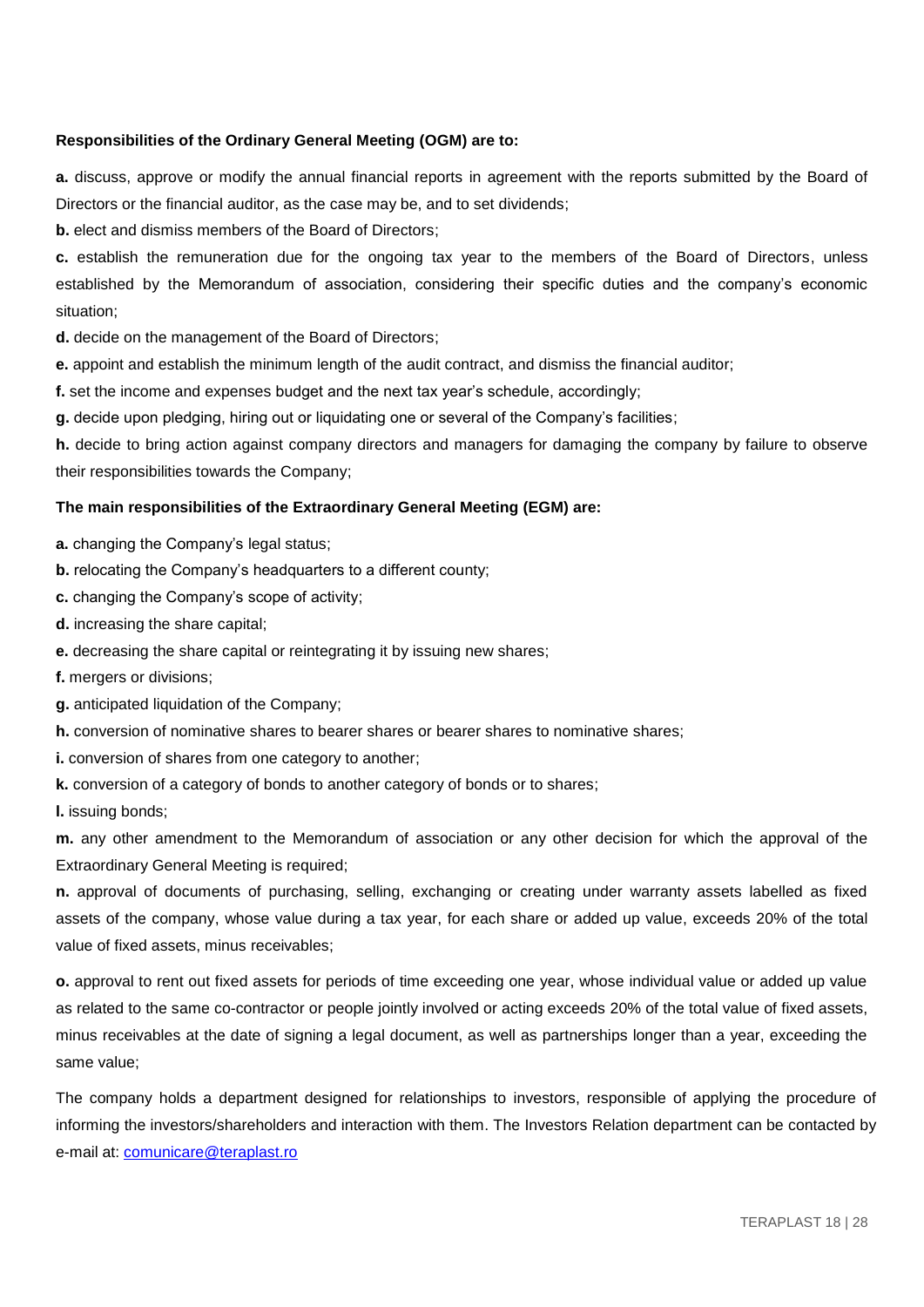# **Responsibilities of the Ordinary General Meeting (OGM) are to:**

**a.** discuss, approve or modify the annual financial reports in agreement with the reports submitted by the Board of Directors or the financial auditor, as the case may be, and to set dividends;

**b.** elect and dismiss members of the Board of Directors;

**c.** establish the remuneration due for the ongoing tax year to the members of the Board of Directors, unless established by the Memorandum of association, considering their specific duties and the company's economic situation;

**d.** decide on the management of the Board of Directors;

**e.** appoint and establish the minimum length of the audit contract, and dismiss the financial auditor;

**f.** set the income and expenses budget and the next tax year's schedule, accordingly;

**g.** decide upon pledging, hiring out or liquidating one or several of the Company's facilities;

**h.** decide to bring action against company directors and managers for damaging the company by failure to observe their responsibilities towards the Company;

# **The main responsibilities of the Extraordinary General Meeting (EGM) are:**

**a.** changing the Company's legal status;

**b.** relocating the Company's headquarters to a different county;

**c.** changing the Company's scope of activity;

**d.** increasing the share capital;

**e.** decreasing the share capital or reintegrating it by issuing new shares;

**f.** mergers or divisions;

**g.** anticipated liquidation of the Company;

**h.** conversion of nominative shares to bearer shares or bearer shares to nominative shares;

**i.** conversion of shares from one category to another;

**k.** conversion of a category of bonds to another category of bonds or to shares;

**l.** issuing bonds;

**m.** any other amendment to the Memorandum of association or any other decision for which the approval of the Extraordinary General Meeting is required;

**n.** approval of documents of purchasing, selling, exchanging or creating under warranty assets labelled as fixed assets of the company, whose value during a tax year, for each share or added up value, exceeds 20% of the total value of fixed assets, minus receivables;

**o.** approval to rent out fixed assets for periods of time exceeding one year, whose individual value or added up value as related to the same co-contractor or people jointly involved or acting exceeds 20% of the total value of fixed assets, minus receivables at the date of signing a legal document, as well as partnerships longer than a year, exceeding the same value;

The company holds a department designed for relationships to investors, responsible of applying the procedure of informing the investors/shareholders and interaction with them. The Investors Relation department can be contacted by e-mail at: [comunicare@teraplast.ro](mailto:comunicare@teraplast.ro)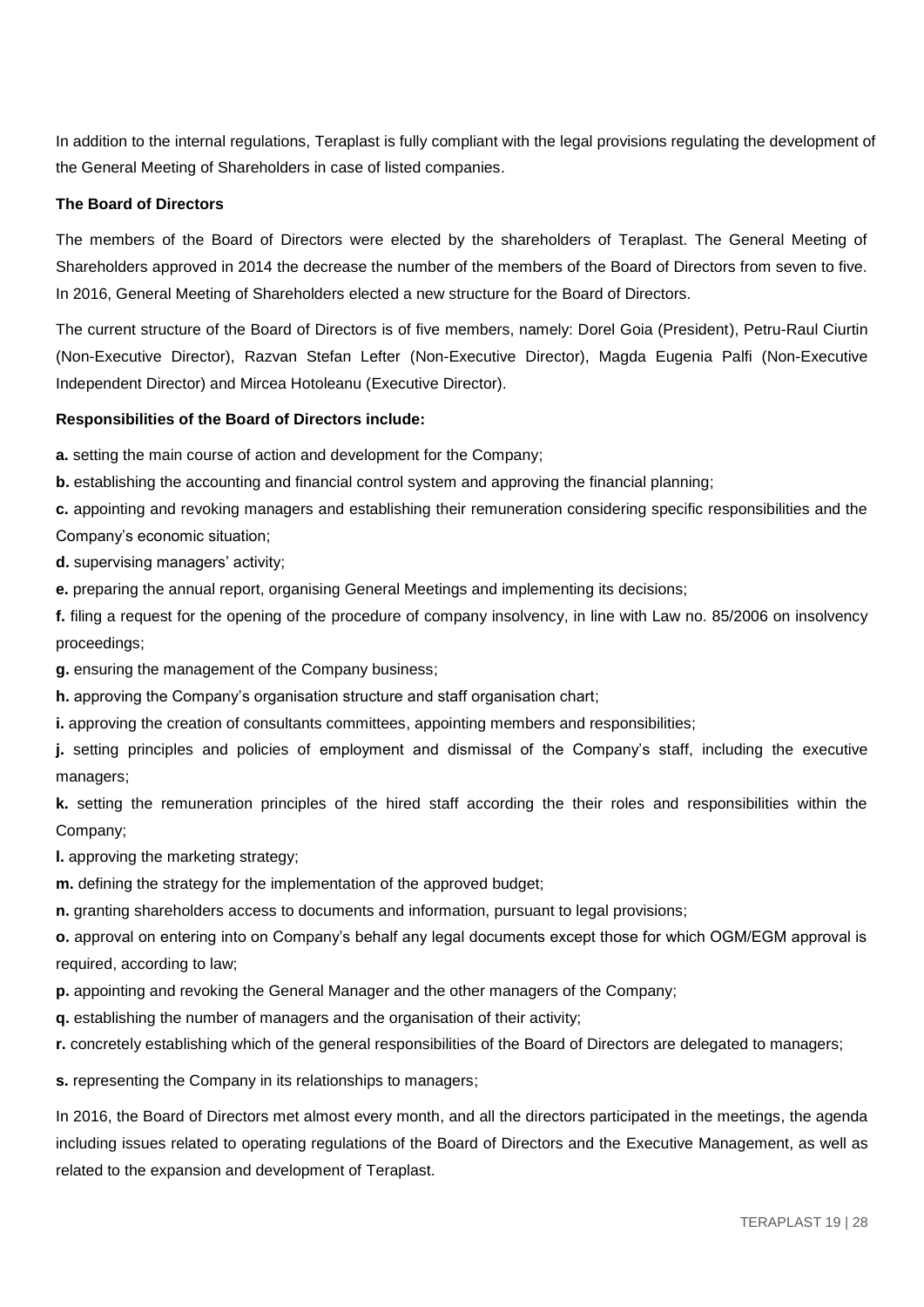In addition to the internal regulations, Teraplast is fully compliant with the legal provisions regulating the development of the General Meeting of Shareholders in case of listed companies.

#### **The Board of Directors**

The members of the Board of Directors were elected by the shareholders of Teraplast. The General Meeting of Shareholders approved in 2014 the decrease the number of the members of the Board of Directors from seven to five. In 2016, General Meeting of Shareholders elected a new structure for the Board of Directors.

The current structure of the Board of Directors is of five members, namely: Dorel Goia (President), Petru-Raul Ciurtin (Non-Executive Director), Razvan Stefan Lefter (Non-Executive Director), Magda Eugenia Palfi (Non-Executive Independent Director) and Mircea Hotoleanu (Executive Director).

#### **Responsibilities of the Board of Directors include:**

**a.** setting the main course of action and development for the Company;

**b.** establishing the accounting and financial control system and approving the financial planning;

**c.** appointing and revoking managers and establishing their remuneration considering specific responsibilities and the Company's economic situation;

**d.** supervising managers' activity;

**e.** preparing the annual report, organising General Meetings and implementing its decisions;

**f.** filing a request for the opening of the procedure of company insolvency, in line with Law no. 85/2006 on insolvency proceedings;

**g.** ensuring the management of the Company business;

**h.** approving the Company's organisation structure and staff organisation chart;

**i.** approving the creation of consultants committees, appointing members and responsibilities;

**j.** setting principles and policies of employment and dismissal of the Company's staff, including the executive managers;

**k.** setting the remuneration principles of the hired staff according the their roles and responsibilities within the Company;

**l.** approving the marketing strategy;

**m.** defining the strategy for the implementation of the approved budget;

**n.** granting shareholders access to documents and information, pursuant to legal provisions;

**o.** approval on entering into on Company's behalf any legal documents except those for which OGM/EGM approval is required, according to law;

**p.** appointing and revoking the General Manager and the other managers of the Company;

**q.** establishing the number of managers and the organisation of their activity;

**r.** concretely establishing which of the general responsibilities of the Board of Directors are delegated to managers;

**s.** representing the Company in its relationships to managers;

In 2016, the Board of Directors met almost every month, and all the directors participated in the meetings, the agenda including issues related to operating regulations of the Board of Directors and the Executive Management, as well as related to the expansion and development of Teraplast.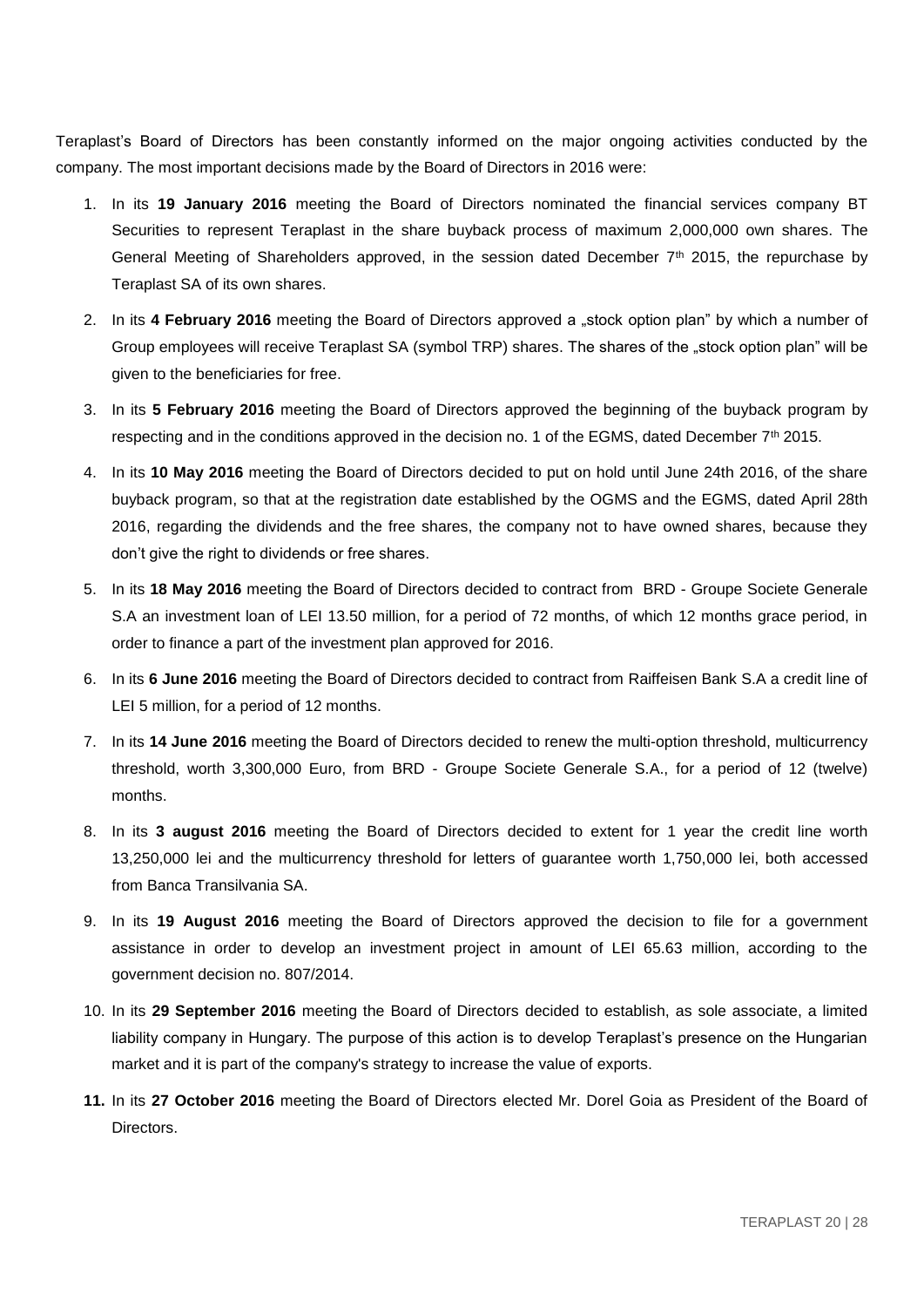Teraplast's Board of Directors has been constantly informed on the major ongoing activities conducted by the company. The most important decisions made by the Board of Directors in 2016 were:

- 1. In its **19 January 2016** meeting the Board of Directors nominated the financial services company BT Securities to represent Teraplast in the share buyback process of maximum 2,000,000 own shares. The General Meeting of Shareholders approved, in the session dated December 7<sup>th</sup> 2015, the repurchase by Teraplast SA of its own shares.
- 2. In its 4 February 2016 meeting the Board of Directors approved a "stock option plan" by which a number of Group employees will receive Teraplast SA (symbol TRP) shares. The shares of the "stock option plan" will be given to the beneficiaries for free.
- 3. In its **5 February 2016** meeting the Board of Directors approved the beginning of the buyback program by respecting and in the conditions approved in the decision no. 1 of the EGMS, dated December  $7<sup>th</sup>$  2015.
- 4. In its **10 May 2016** meeting the Board of Directors decided to put on hold until June 24th 2016, of the share buyback program, so that at the registration date established by the OGMS and the EGMS, dated April 28th 2016, regarding the dividends and the free shares, the company not to have owned shares, because they don't give the right to dividends or free shares.
- 5. In its **18 May 2016** meeting the Board of Directors decided to contract from BRD Groupe Societe Generale S.A an investment loan of LEI 13.50 million, for a period of 72 months, of which 12 months grace period, in order to finance a part of the investment plan approved for 2016.
- 6. In its **6 June 2016** meeting the Board of Directors decided to contract from Raiffeisen Bank S.A a credit line of LEI 5 million, for a period of 12 months.
- 7. In its **14 June 2016** meeting the Board of Directors decided to renew the multi-option threshold, multicurrency threshold, worth 3,300,000 Euro, from BRD - Groupe Societe Generale S.A., for a period of 12 (twelve) months.
- 8. In its **3 august 2016** meeting the Board of Directors decided to extent for 1 year the credit line worth 13,250,000 lei and the multicurrency threshold for letters of guarantee worth 1,750,000 lei, both accessed from Banca Transilvania SA.
- 9. In its **19 August 2016** meeting the Board of Directors approved the decision to file for a government assistance in order to develop an investment project in amount of LEI 65.63 million, according to the government decision no. 807/2014.
- 10. In its **29 September 2016** meeting the Board of Directors decided to establish, as sole associate, a limited liability company in Hungary. The purpose of this action is to develop Teraplast's presence on the Hungarian market and it is part of the company's strategy to increase the value of exports.
- **11.** In its **27 October 2016** meeting the Board of Directors elected Mr. Dorel Goia as President of the Board of Directors.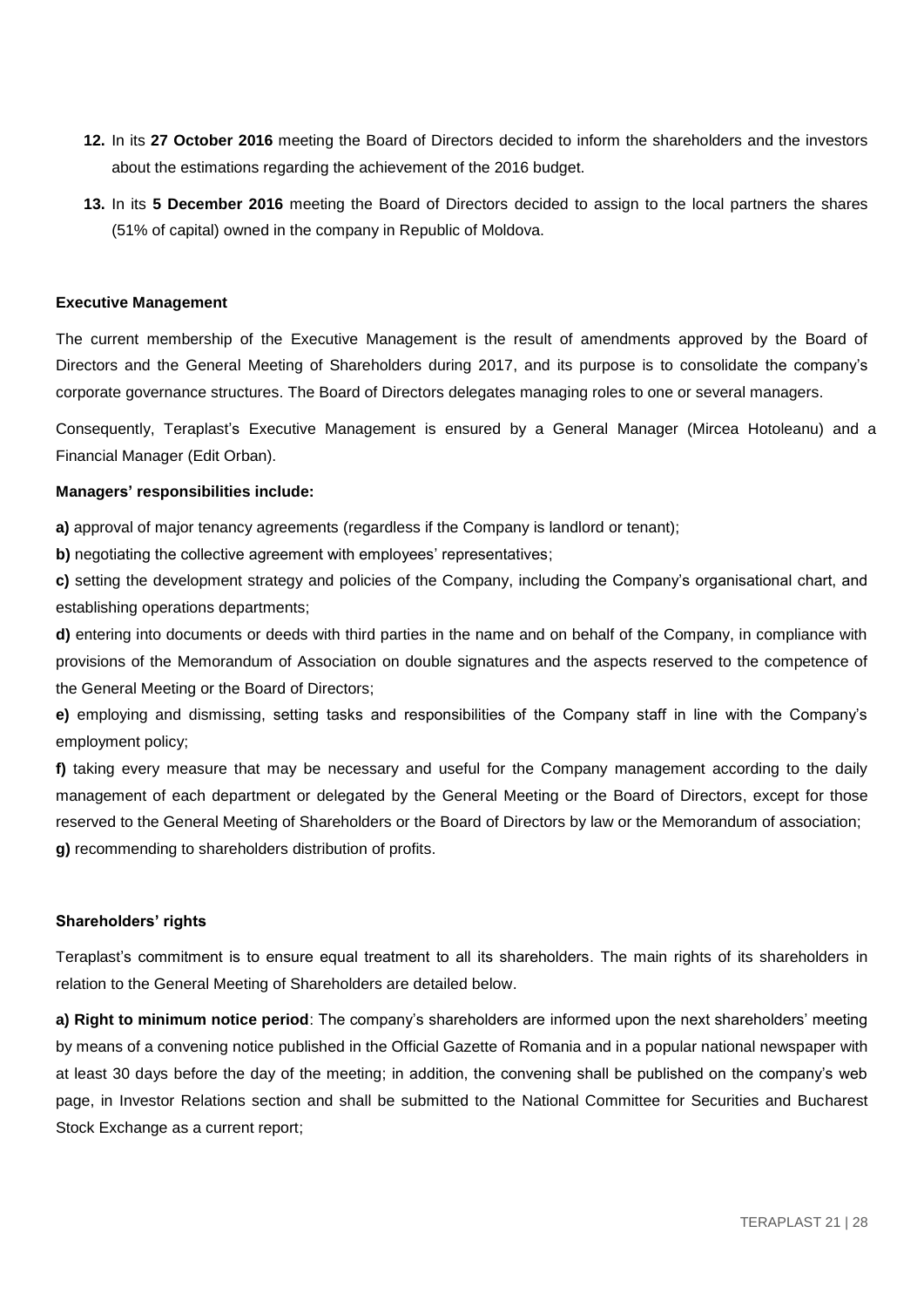- **12.** In its **27 October 2016** meeting the Board of Directors decided to inform the shareholders and the investors about the estimations regarding the achievement of the 2016 budget.
- **13.** In its **5 December 2016** meeting the Board of Directors decided to assign to the local partners the shares (51% of capital) owned in the company in Republic of Moldova.

#### **Executive Management**

The current membership of the Executive Management is the result of amendments approved by the Board of Directors and the General Meeting of Shareholders during 2017, and its purpose is to consolidate the company's corporate governance structures. The Board of Directors delegates managing roles to one or several managers.

Consequently, Teraplast's Executive Management is ensured by a General Manager (Mircea Hotoleanu) and a Financial Manager (Edit Orban).

#### **Managers' responsibilities include:**

**a)** approval of major tenancy agreements (regardless if the Company is landlord or tenant);

**b)** negotiating the collective agreement with employees' representatives;

**c)** setting the development strategy and policies of the Company, including the Company's organisational chart, and establishing operations departments;

**d)** entering into documents or deeds with third parties in the name and on behalf of the Company, in compliance with provisions of the Memorandum of Association on double signatures and the aspects reserved to the competence of the General Meeting or the Board of Directors;

**e)** employing and dismissing, setting tasks and responsibilities of the Company staff in line with the Company's employment policy;

**f)** taking every measure that may be necessary and useful for the Company management according to the daily management of each department or delegated by the General Meeting or the Board of Directors, except for those reserved to the General Meeting of Shareholders or the Board of Directors by law or the Memorandum of association; **g)** recommending to shareholders distribution of profits.

#### **Shareholders' rights**

Teraplast's commitment is to ensure equal treatment to all its shareholders. The main rights of its shareholders in relation to the General Meeting of Shareholders are detailed below.

**a) Right to minimum notice period**: The company's shareholders are informed upon the next shareholders' meeting by means of a convening notice published in the Official Gazette of Romania and in a popular national newspaper with at least 30 days before the day of the meeting; in addition, the convening shall be published on the company's web page, in Investor Relations section and shall be submitted to the National Committee for Securities and Bucharest Stock Exchange as a current report;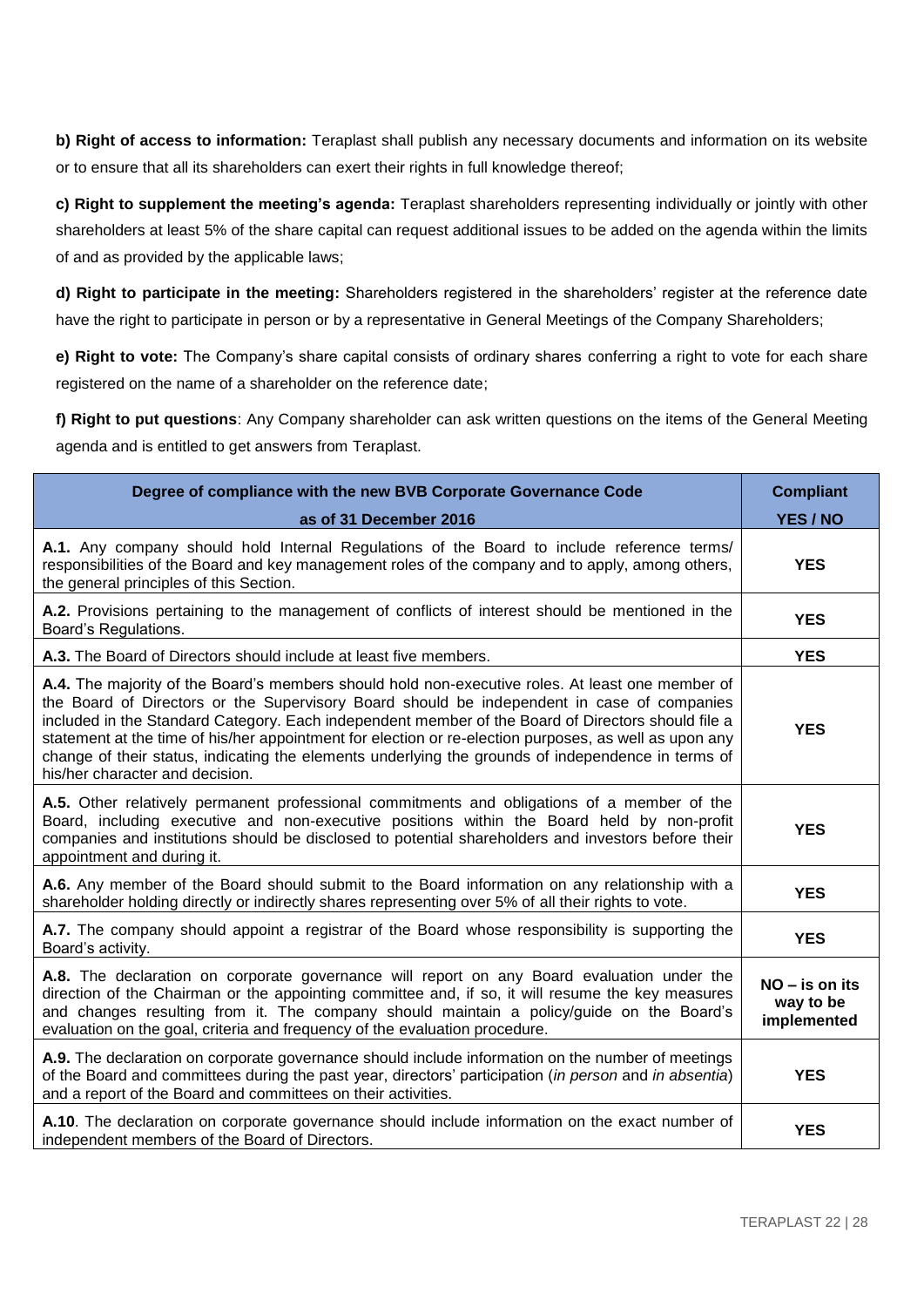**b) Right of access to information:** Teraplast shall publish any necessary documents and information on its website or to ensure that all its shareholders can exert their rights in full knowledge thereof;

**c) Right to supplement the meeting's agenda:** Teraplast shareholders representing individually or jointly with other shareholders at least 5% of the share capital can request additional issues to be added on the agenda within the limits of and as provided by the applicable laws;

**d) Right to participate in the meeting:** Shareholders registered in the shareholders' register at the reference date have the right to participate in person or by a representative in General Meetings of the Company Shareholders;

**e) Right to vote:** The Company's share capital consists of ordinary shares conferring a right to vote for each share registered on the name of a shareholder on the reference date;

**f) Right to put questions**: Any Company shareholder can ask written questions on the items of the General Meeting agenda and is entitled to get answers from Teraplast.

| Degree of compliance with the new BVB Corporate Governance Code                                                                                                                                                                                                                                                                                                                                                                                                                                                                                         | <b>Compliant</b>                             |
|---------------------------------------------------------------------------------------------------------------------------------------------------------------------------------------------------------------------------------------------------------------------------------------------------------------------------------------------------------------------------------------------------------------------------------------------------------------------------------------------------------------------------------------------------------|----------------------------------------------|
| as of 31 December 2016                                                                                                                                                                                                                                                                                                                                                                                                                                                                                                                                  | YES / NO                                     |
| A.1. Any company should hold Internal Regulations of the Board to include reference terms/<br>responsibilities of the Board and key management roles of the company and to apply, among others,<br>the general principles of this Section.                                                                                                                                                                                                                                                                                                              | <b>YES</b>                                   |
| A.2. Provisions pertaining to the management of conflicts of interest should be mentioned in the<br>Board's Regulations.                                                                                                                                                                                                                                                                                                                                                                                                                                | <b>YES</b>                                   |
| A.3. The Board of Directors should include at least five members.                                                                                                                                                                                                                                                                                                                                                                                                                                                                                       | <b>YES</b>                                   |
| A.4. The majority of the Board's members should hold non-executive roles. At least one member of<br>the Board of Directors or the Supervisory Board should be independent in case of companies<br>included in the Standard Category. Each independent member of the Board of Directors should file a<br>statement at the time of his/her appointment for election or re-election purposes, as well as upon any<br>change of their status, indicating the elements underlying the grounds of independence in terms of<br>his/her character and decision. | <b>YES</b>                                   |
| A.5. Other relatively permanent professional commitments and obligations of a member of the<br>Board, including executive and non-executive positions within the Board held by non-profit<br>companies and institutions should be disclosed to potential shareholders and investors before their<br>appointment and during it.                                                                                                                                                                                                                          | <b>YES</b>                                   |
| A.6. Any member of the Board should submit to the Board information on any relationship with a<br>shareholder holding directly or indirectly shares representing over 5% of all their rights to vote.                                                                                                                                                                                                                                                                                                                                                   | <b>YES</b>                                   |
| A.7. The company should appoint a registrar of the Board whose responsibility is supporting the<br>Board's activity.                                                                                                                                                                                                                                                                                                                                                                                                                                    | <b>YES</b>                                   |
| A.8. The declaration on corporate governance will report on any Board evaluation under the<br>direction of the Chairman or the appointing committee and, if so, it will resume the key measures<br>and changes resulting from it. The company should maintain a policy/guide on the Board's<br>evaluation on the goal, criteria and frequency of the evaluation procedure.                                                                                                                                                                              | $NO - is on its$<br>way to be<br>implemented |
| A.9. The declaration on corporate governance should include information on the number of meetings<br>of the Board and committees during the past year, directors' participation (in person and in absentia)<br>and a report of the Board and committees on their activities.                                                                                                                                                                                                                                                                            | <b>YES</b>                                   |
| A.10. The declaration on corporate governance should include information on the exact number of<br>independent members of the Board of Directors.                                                                                                                                                                                                                                                                                                                                                                                                       | <b>YES</b>                                   |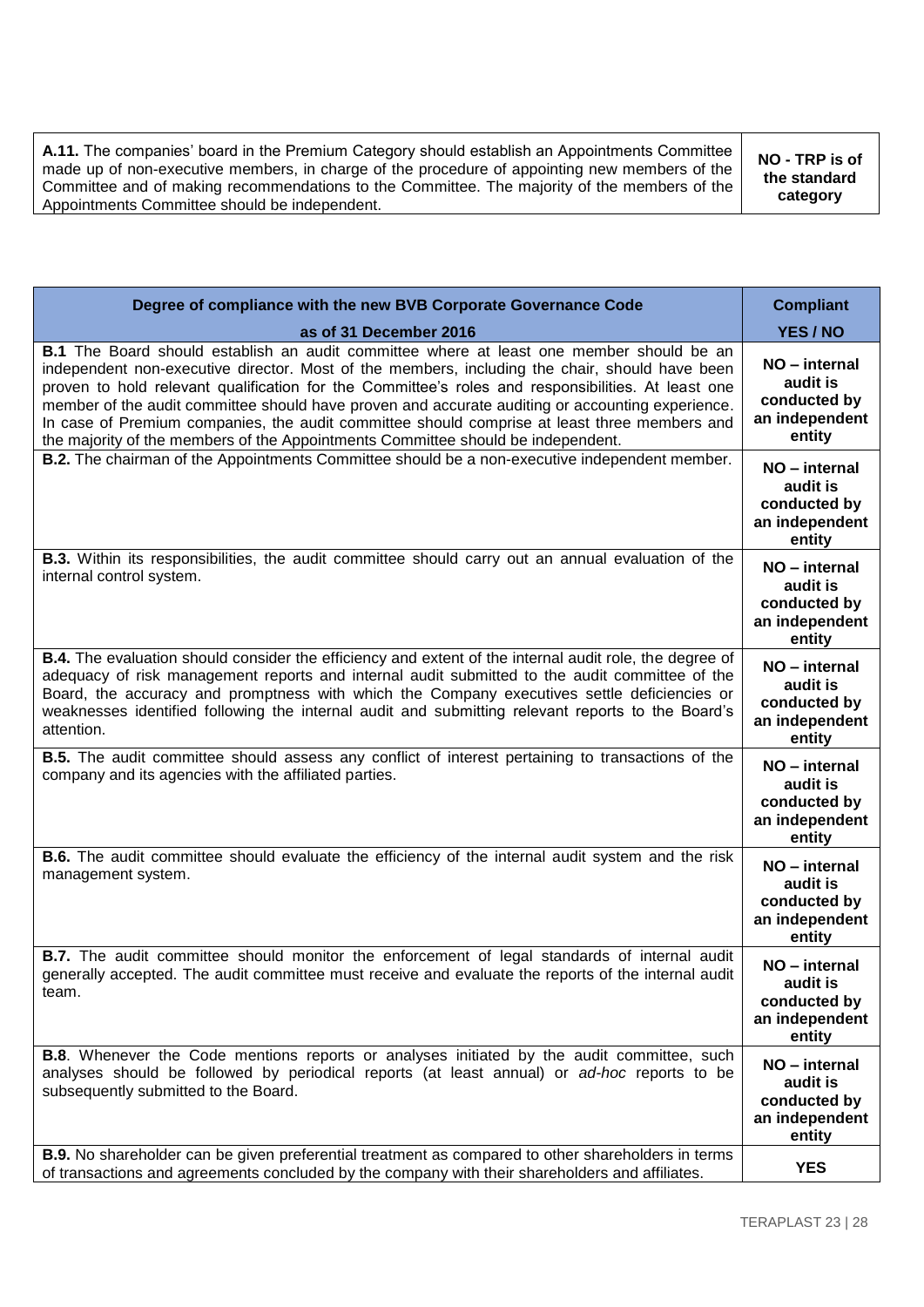**A.11.** The companies' board in the Premium Category should establish an Appointments Committee made up of non-executive members, in charge of the procedure of appointing new members of the Committee and of making recommendations to the Committee. The majority of the members of the Appointments Committee should be independent. **NO - TRP is of the standard category**

| Degree of compliance with the new BVB Corporate Governance Code                                                                                                                                                                                                                                                                                                                                                                                                                                                                                                                                 | <b>Compliant</b>                                                      |
|-------------------------------------------------------------------------------------------------------------------------------------------------------------------------------------------------------------------------------------------------------------------------------------------------------------------------------------------------------------------------------------------------------------------------------------------------------------------------------------------------------------------------------------------------------------------------------------------------|-----------------------------------------------------------------------|
| as of 31 December 2016                                                                                                                                                                                                                                                                                                                                                                                                                                                                                                                                                                          | YES / NO                                                              |
| <b>B.1</b> The Board should establish an audit committee where at least one member should be an<br>independent non-executive director. Most of the members, including the chair, should have been<br>proven to hold relevant qualification for the Committee's roles and responsibilities. At least one<br>member of the audit committee should have proven and accurate auditing or accounting experience.<br>In case of Premium companies, the audit committee should comprise at least three members and<br>the majority of the members of the Appointments Committee should be independent. | NO - internal<br>audit is<br>conducted by<br>an independent<br>entity |
| B.2. The chairman of the Appointments Committee should be a non-executive independent member.                                                                                                                                                                                                                                                                                                                                                                                                                                                                                                   | NO - internal<br>audit is<br>conducted by<br>an independent<br>entity |
| <b>B.3.</b> Within its responsibilities, the audit committee should carry out an annual evaluation of the<br>internal control system.                                                                                                                                                                                                                                                                                                                                                                                                                                                           | NO - internal<br>audit is<br>conducted by<br>an independent<br>entity |
| <b>B.4.</b> The evaluation should consider the efficiency and extent of the internal audit role, the degree of<br>adequacy of risk management reports and internal audit submitted to the audit committee of the<br>Board, the accuracy and promptness with which the Company executives settle deficiencies or<br>weaknesses identified following the internal audit and submitting relevant reports to the Board's<br>attention.                                                                                                                                                              | NO - internal<br>audit is<br>conducted by<br>an independent<br>entity |
| <b>B.5.</b> The audit committee should assess any conflict of interest pertaining to transactions of the<br>company and its agencies with the affiliated parties.                                                                                                                                                                                                                                                                                                                                                                                                                               | NO - internal<br>audit is<br>conducted by<br>an independent<br>entity |
| <b>B.6.</b> The audit committee should evaluate the efficiency of the internal audit system and the risk<br>management system.                                                                                                                                                                                                                                                                                                                                                                                                                                                                  | NO - internal<br>audit is<br>conducted by<br>an independent<br>entity |
| <b>B.7.</b> The audit committee should monitor the enforcement of legal standards of internal audit<br>generally accepted. The audit committee must receive and evaluate the reports of the internal audit<br>team.                                                                                                                                                                                                                                                                                                                                                                             | NO – internal<br>audit is<br>conducted by<br>an independent<br>entity |
| <b>B.8.</b> Whenever the Code mentions reports or analyses initiated by the audit committee, such<br>analyses should be followed by periodical reports (at least annual) or ad-hoc reports to be<br>subsequently submitted to the Board.                                                                                                                                                                                                                                                                                                                                                        | NO - internal<br>audit is<br>conducted by<br>an independent<br>entity |
| <b>B.9.</b> No shareholder can be given preferential treatment as compared to other shareholders in terms<br>of transactions and agreements concluded by the company with their shareholders and affiliates.                                                                                                                                                                                                                                                                                                                                                                                    | <b>YES</b>                                                            |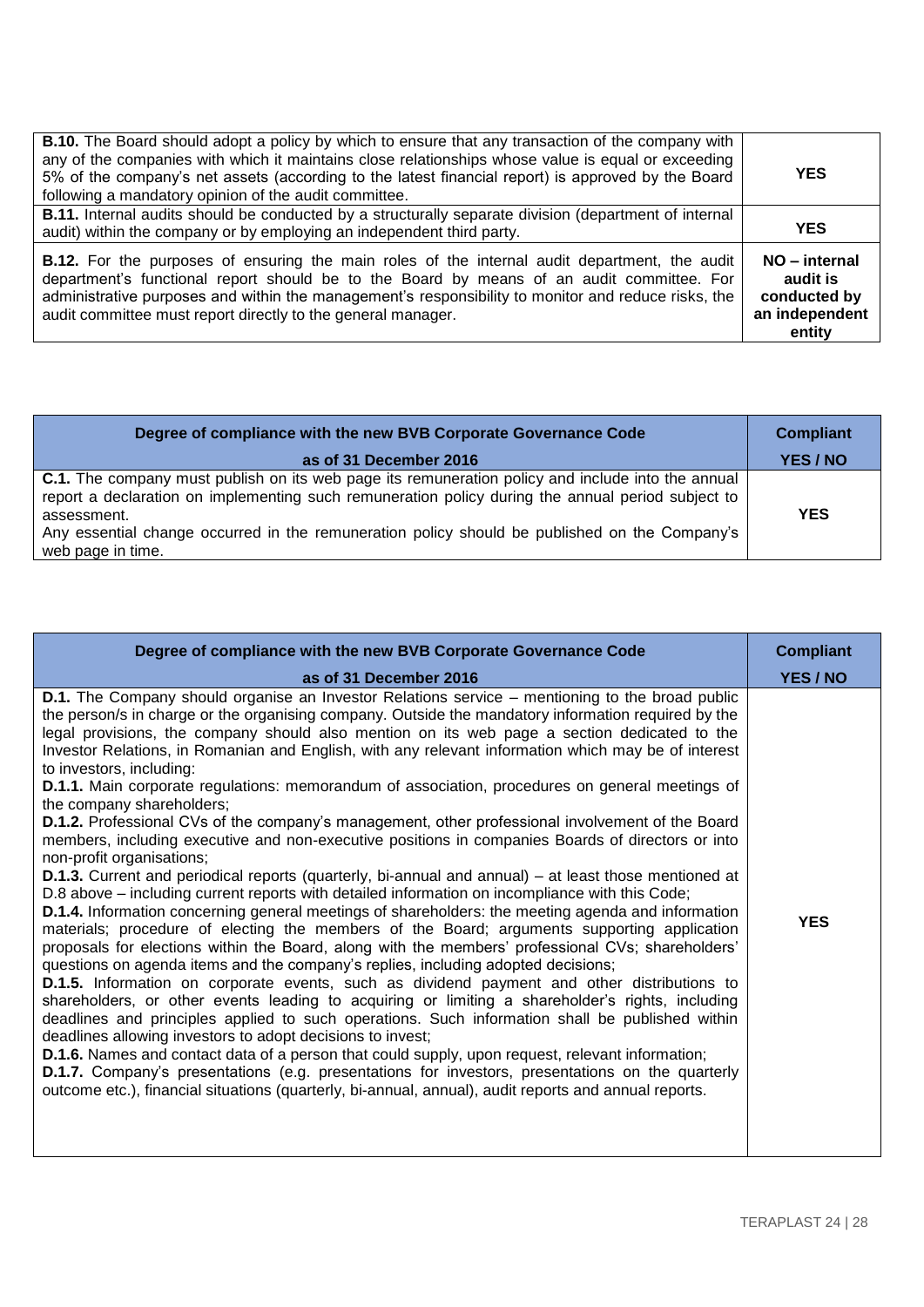| <b>B.10.</b> The Board should adopt a policy by which to ensure that any transaction of the company with<br>any of the companies with which it maintains close relationships whose value is equal or exceeding<br>5% of the company's net assets (according to the latest financial report) is approved by the Board<br>following a mandatory opinion of the audit committee. | <b>YES</b>                                                            |
|-------------------------------------------------------------------------------------------------------------------------------------------------------------------------------------------------------------------------------------------------------------------------------------------------------------------------------------------------------------------------------|-----------------------------------------------------------------------|
| <b>B.11.</b> Internal audits should be conducted by a structurally separate division (department of internal<br>audit) within the company or by employing an independent third party.                                                                                                                                                                                         | <b>YES</b>                                                            |
| <b>B.12.</b> For the purposes of ensuring the main roles of the internal audit department, the audit<br>department's functional report should be to the Board by means of an audit committee. For<br>administrative purposes and within the management's responsibility to monitor and reduce risks, the<br>audit committee must report directly to the general manager.      | NO - internal<br>audit is<br>conducted by<br>an independent<br>entity |

| Degree of compliance with the new BVB Corporate Governance Code                                                                                                                                                                                                                                                                                    | <b>Compliant</b> |
|----------------------------------------------------------------------------------------------------------------------------------------------------------------------------------------------------------------------------------------------------------------------------------------------------------------------------------------------------|------------------|
| as of 31 December 2016                                                                                                                                                                                                                                                                                                                             | YES / NO         |
| <b>C.1.</b> The company must publish on its web page its remuneration policy and include into the annual<br>report a declaration on implementing such remuneration policy during the annual period subject to<br>assessment.<br>Any essential change occurred in the remuneration policy should be published on the Company's<br>web page in time. | <b>YES</b>       |

| Degree of compliance with the new BVB Corporate Governance Code                                                                                                                                                                                                                                                                                                                                                                                                                                                                                                                                                                                                                                                                                                                                                                                                                                                                                                                                                                                                                                                                                                                                                                                                                                                                                                                                                                                                                                                                                                                                                                                                                                                                                                                                                                                                                                                                                                                                                                                                                                                                                                  | <b>Compliant</b> |
|------------------------------------------------------------------------------------------------------------------------------------------------------------------------------------------------------------------------------------------------------------------------------------------------------------------------------------------------------------------------------------------------------------------------------------------------------------------------------------------------------------------------------------------------------------------------------------------------------------------------------------------------------------------------------------------------------------------------------------------------------------------------------------------------------------------------------------------------------------------------------------------------------------------------------------------------------------------------------------------------------------------------------------------------------------------------------------------------------------------------------------------------------------------------------------------------------------------------------------------------------------------------------------------------------------------------------------------------------------------------------------------------------------------------------------------------------------------------------------------------------------------------------------------------------------------------------------------------------------------------------------------------------------------------------------------------------------------------------------------------------------------------------------------------------------------------------------------------------------------------------------------------------------------------------------------------------------------------------------------------------------------------------------------------------------------------------------------------------------------------------------------------------------------|------------------|
| as of 31 December 2016                                                                                                                                                                                                                                                                                                                                                                                                                                                                                                                                                                                                                                                                                                                                                                                                                                                                                                                                                                                                                                                                                                                                                                                                                                                                                                                                                                                                                                                                                                                                                                                                                                                                                                                                                                                                                                                                                                                                                                                                                                                                                                                                           | YES / NO         |
| <b>D.1.</b> The Company should organise an Investor Relations service – mentioning to the broad public<br>the person/s in charge or the organising company. Outside the mandatory information required by the<br>legal provisions, the company should also mention on its web page a section dedicated to the<br>Investor Relations, in Romanian and English, with any relevant information which may be of interest<br>to investors, including:<br><b>D.1.1.</b> Main corporate regulations: memorandum of association, procedures on general meetings of<br>the company shareholders;<br><b>D.1.2.</b> Professional CVs of the company's management, other professional involvement of the Board<br>members, including executive and non-executive positions in companies Boards of directors or into<br>non-profit organisations;<br><b>D.1.3.</b> Current and periodical reports (quarterly, bi-annual and annual) – at least those mentioned at<br>D.8 above – including current reports with detailed information on incompliance with this Code;<br><b>D.1.4.</b> Information concerning general meetings of shareholders: the meeting agenda and information<br>materials; procedure of electing the members of the Board; arguments supporting application<br>proposals for elections within the Board, along with the members' professional CVs; shareholders'<br>questions on agenda items and the company's replies, including adopted decisions;<br><b>D.1.5.</b> Information on corporate events, such as dividend payment and other distributions to<br>shareholders, or other events leading to acquiring or limiting a shareholder's rights, including<br>deadlines and principles applied to such operations. Such information shall be published within<br>deadlines allowing investors to adopt decisions to invest;<br><b>D.1.6.</b> Names and contact data of a person that could supply, upon request, relevant information;<br>D.1.7. Company's presentations (e.g. presentations for investors, presentations on the quarterly<br>outcome etc.), financial situations (quarterly, bi-annual, annual), audit reports and annual reports. | <b>YES</b>       |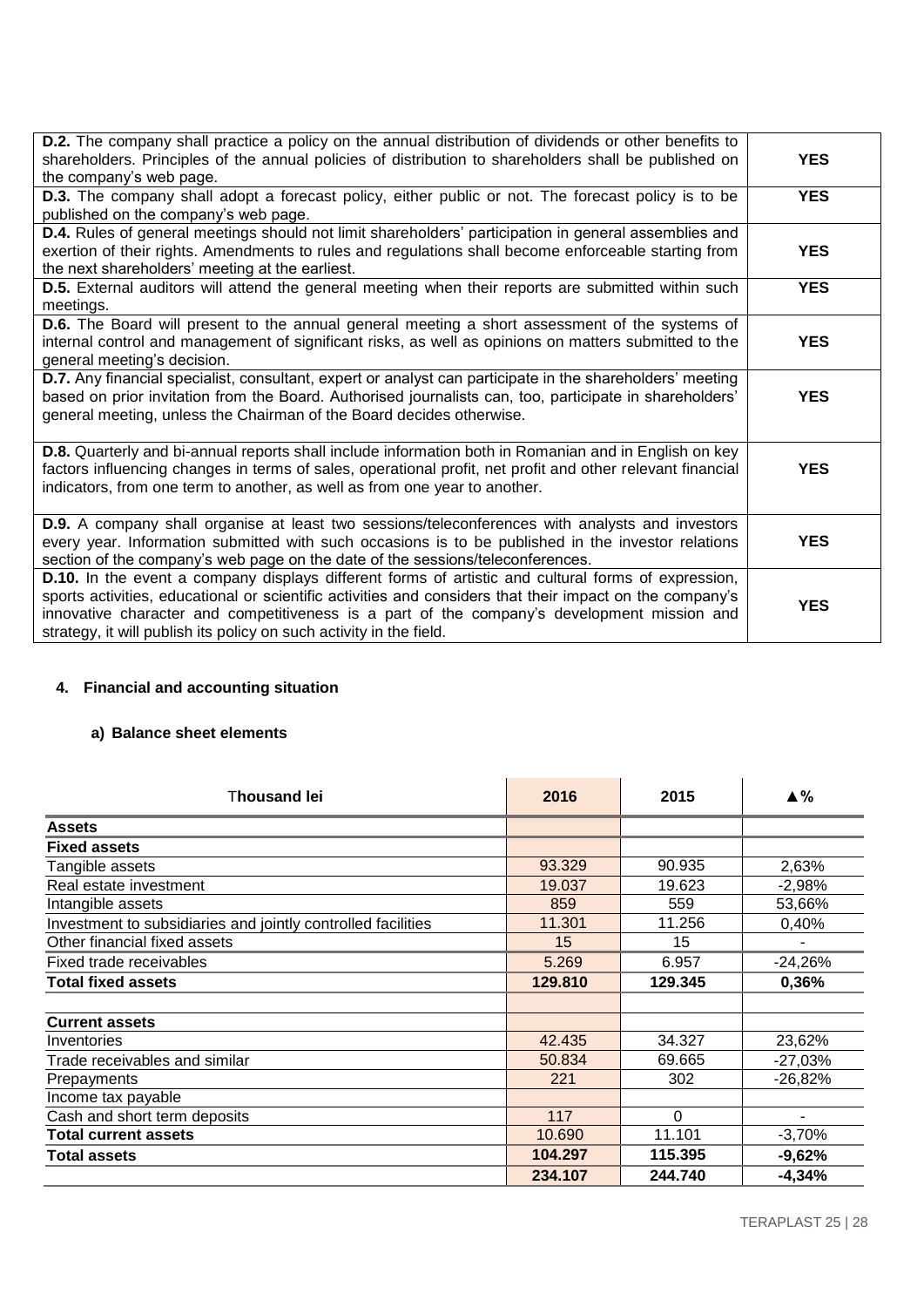| <b>D.2.</b> The company shall practice a policy on the annual distribution of dividends or other benefits to<br>shareholders. Principles of the annual policies of distribution to shareholders shall be published on<br>the company's web page.                                                                                                                                      | <b>YES</b> |
|---------------------------------------------------------------------------------------------------------------------------------------------------------------------------------------------------------------------------------------------------------------------------------------------------------------------------------------------------------------------------------------|------------|
| <b>D.3.</b> The company shall adopt a forecast policy, either public or not. The forecast policy is to be<br>published on the company's web page.                                                                                                                                                                                                                                     | <b>YES</b> |
| D.4. Rules of general meetings should not limit shareholders' participation in general assemblies and<br>exertion of their rights. Amendments to rules and regulations shall become enforceable starting from<br>the next shareholders' meeting at the earliest.                                                                                                                      | <b>YES</b> |
| D.5. External auditors will attend the general meeting when their reports are submitted within such<br>meetings.                                                                                                                                                                                                                                                                      | <b>YES</b> |
| <b>D.6.</b> The Board will present to the annual general meeting a short assessment of the systems of<br>internal control and management of significant risks, as well as opinions on matters submitted to the<br>general meeting's decision.                                                                                                                                         | <b>YES</b> |
| D.7. Any financial specialist, consultant, expert or analyst can participate in the shareholders' meeting<br>based on prior invitation from the Board. Authorised journalists can, too, participate in shareholders'<br>general meeting, unless the Chairman of the Board decides otherwise.                                                                                          | <b>YES</b> |
| <b>D.8.</b> Quarterly and bi-annual reports shall include information both in Romanian and in English on key<br>factors influencing changes in terms of sales, operational profit, net profit and other relevant financial<br>indicators, from one term to another, as well as from one year to another.                                                                              | <b>YES</b> |
| D.9. A company shall organise at least two sessions/teleconferences with analysts and investors<br>every year. Information submitted with such occasions is to be published in the investor relations<br>section of the company's web page on the date of the sessions/teleconferences.                                                                                               | <b>YES</b> |
| D.10. In the event a company displays different forms of artistic and cultural forms of expression,<br>sports activities, educational or scientific activities and considers that their impact on the company's<br>innovative character and competitiveness is a part of the company's development mission and<br>strategy, it will publish its policy on such activity in the field. | <b>YES</b> |

# **4. Financial and accounting situation**

# **a) Balance sheet elements**

| Thousand lei                                                 | 2016    | 2015    | ▲%             |
|--------------------------------------------------------------|---------|---------|----------------|
| <b>Assets</b>                                                |         |         |                |
| <b>Fixed assets</b>                                          |         |         |                |
| Tangible assets                                              | 93.329  | 90.935  | 2,63%          |
| Real estate investment                                       | 19.037  | 19.623  | $-2,98%$       |
| Intangible assets                                            | 859     | 559     | 53,66%         |
| Investment to subsidiaries and jointly controlled facilities | 11.301  | 11.256  | 0,40%          |
| Other financial fixed assets                                 | 15      | 15      | $\blacksquare$ |
| Fixed trade receivables                                      | 5.269   | 6.957   | $-24,26%$      |
| <b>Total fixed assets</b>                                    | 129.810 | 129.345 | 0,36%          |
|                                                              |         |         |                |
| <b>Current assets</b>                                        |         |         |                |
| Inventories                                                  | 42.435  | 34.327  | 23,62%         |
| Trade receivables and similar                                | 50.834  | 69.665  | $-27,03%$      |
| Prepayments                                                  | 221     | 302     | $-26,82%$      |
| Income tax payable                                           |         |         |                |
| Cash and short term deposits                                 | 117     | 0       | ۰              |
| <b>Total current assets</b>                                  | 10.690  | 11.101  | $-3,70%$       |
| <b>Total assets</b>                                          | 104.297 | 115.395 | $-9,62%$       |
|                                                              | 234.107 | 244.740 | $-4,34%$       |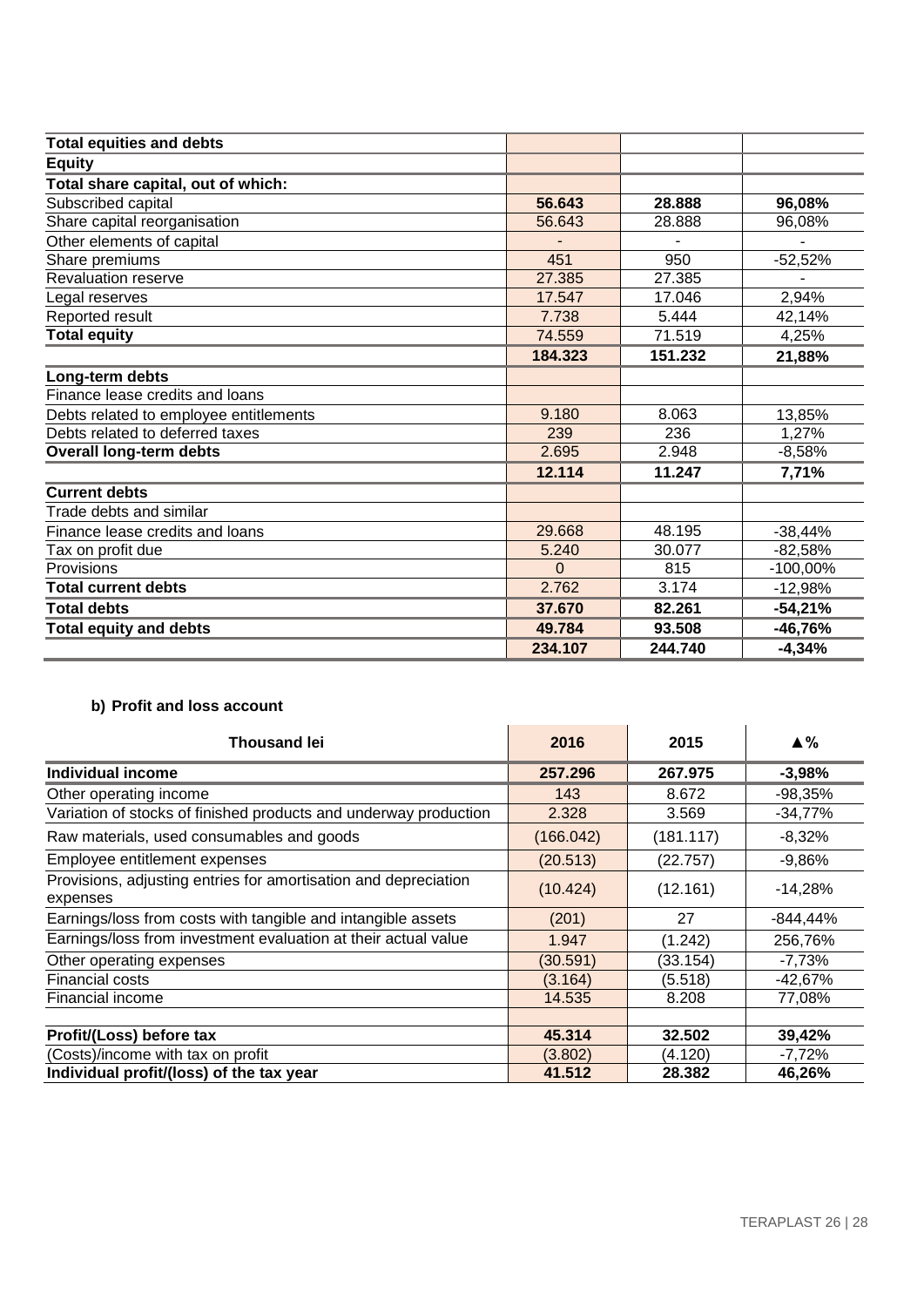| <b>Total equities and debts</b>        |          |         |            |
|----------------------------------------|----------|---------|------------|
| <b>Equity</b>                          |          |         |            |
| Total share capital, out of which:     |          |         |            |
| Subscribed capital                     | 56.643   | 28.888  | 96,08%     |
| Share capital reorganisation           | 56.643   | 28.888  | 96,08%     |
| Other elements of capital              |          |         |            |
| Share premiums                         | 451      | 950     | $-52,52%$  |
| <b>Revaluation reserve</b>             | 27.385   | 27.385  |            |
| Legal reserves                         | 17.547   | 17.046  | 2,94%      |
| Reported result                        | 7.738    | 5.444   | 42,14%     |
| <b>Total equity</b>                    | 74.559   | 71.519  | 4,25%      |
|                                        | 184.323  | 151.232 | 21,88%     |
| Long-term debts                        |          |         |            |
| Finance lease credits and loans        |          |         |            |
| Debts related to employee entitlements | 9.180    | 8.063   | 13,85%     |
| Debts related to deferred taxes        | 239      | 236     | 1,27%      |
| <b>Overall long-term debts</b>         | 2.695    | 2.948   | $-8,58%$   |
|                                        | 12.114   | 11.247  | 7,71%      |
| <b>Current debts</b>                   |          |         |            |
| Trade debts and similar                |          |         |            |
| Finance lease credits and loans        | 29.668   | 48.195  | $-38,44%$  |
| Tax on profit due                      | 5.240    | 30.077  | $-82,58%$  |
| Provisions                             | $\Omega$ | 815     | $-100,00%$ |
| <b>Total current debts</b>             | 2.762    | 3.174   | $-12,98%$  |
| <b>Total debts</b>                     | 37.670   | 82.261  | $-54,21%$  |
| <b>Total equity and debts</b>          | 49.784   | 93.508  | $-46,76%$  |
|                                        | 234.107  | 244.740 | $-4,34%$   |

# **b) Profit and loss account**

| <b>Thousand lei</b>                                                         | 2016      | 2015      | ▲%        |
|-----------------------------------------------------------------------------|-----------|-----------|-----------|
| <b>Individual income</b>                                                    | 257,296   | 267.975   | $-3,98%$  |
| Other operating income                                                      | 143       | 8.672     | $-98,35%$ |
| Variation of stocks of finished products and underway production            | 2.328     | 3.569     | $-34,77%$ |
| Raw materials, used consumables and goods                                   | (166.042) | (181.117) | $-8,32%$  |
| Employee entitlement expenses                                               | (20.513)  | (22.757)  | $-9,86%$  |
| Provisions, adjusting entries for amortisation and depreciation<br>expenses | (10.424)  | (12.161)  | $-14,28%$ |
| Earnings/loss from costs with tangible and intangible assets                | (201)     | 27        | -844,44%  |
| Earnings/loss from investment evaluation at their actual value              | 1.947     | (1.242)   | 256,76%   |
| Other operating expenses                                                    | (30.591)  | (33.154)  | $-7,73%$  |
| <b>Financial costs</b>                                                      | (3.164)   | (5.518)   | -42,67%   |
| Financial income                                                            | 14.535    | 8.208     | 77,08%    |
|                                                                             |           |           |           |
| Profit/(Loss) before tax                                                    | 45.314    | 32.502    | 39,42%    |
| (Costs)/income with tax on profit                                           | (3.802)   | (4.120)   | $-7,72%$  |
| Individual profit/(loss) of the tax year                                    | 41.512    | 28.382    | 46,26%    |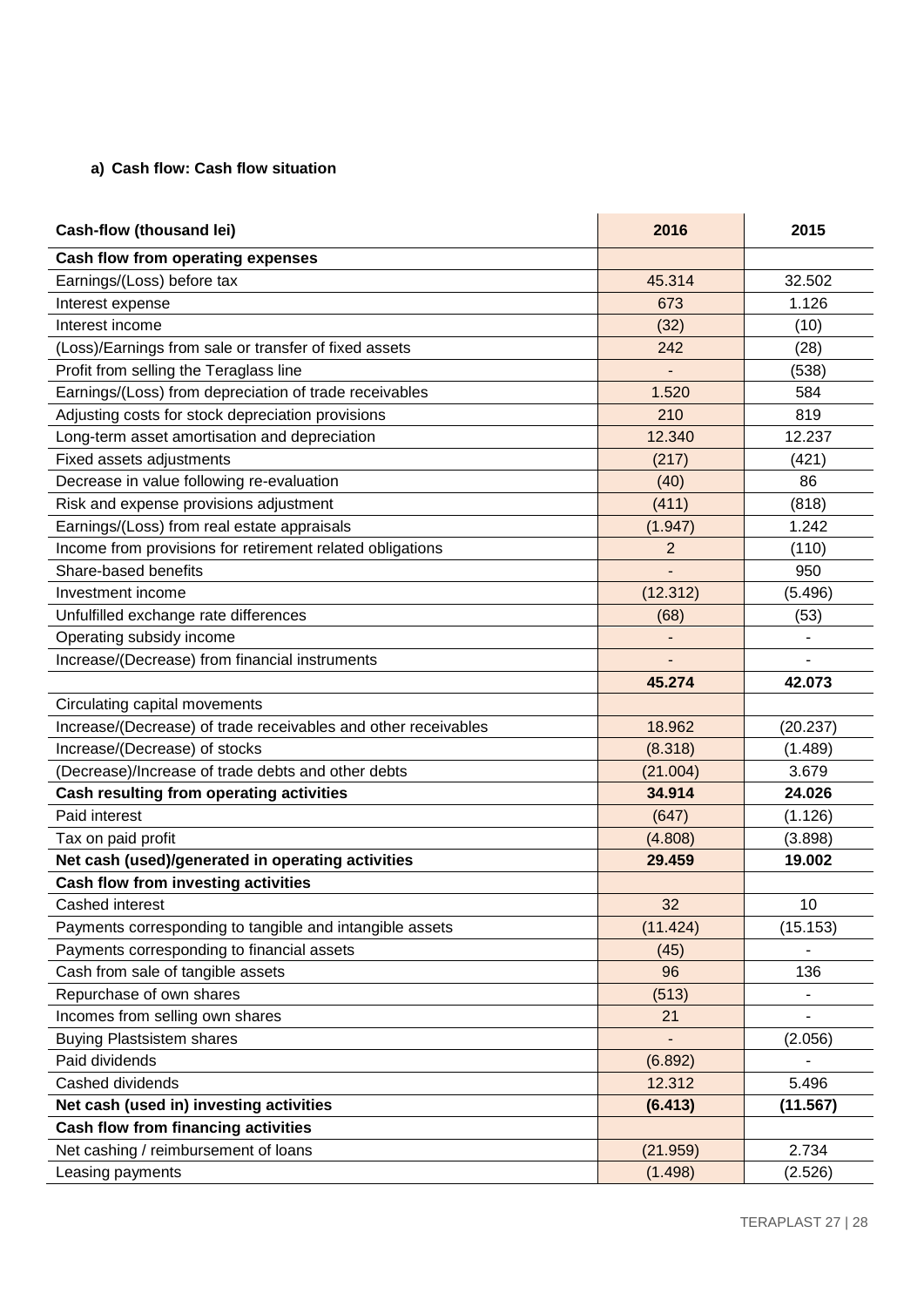# **a) Cash flow: Cash flow situation**

| Cash-flow (thousand lei)                                       | 2016           | 2015     |
|----------------------------------------------------------------|----------------|----------|
| Cash flow from operating expenses                              |                |          |
| Earnings/(Loss) before tax                                     | 45.314         | 32.502   |
| Interest expense                                               | 673            | 1.126    |
| Interest income                                                | (32)           | (10)     |
| (Loss)/Earnings from sale or transfer of fixed assets          | 242            | (28)     |
| Profit from selling the Teraglass line                         |                | (538)    |
| Earnings/(Loss) from depreciation of trade receivables         | 1.520          | 584      |
| Adjusting costs for stock depreciation provisions              | 210            | 819      |
| Long-term asset amortisation and depreciation                  | 12.340         | 12.237   |
| Fixed assets adjustments                                       | (217)          | (421)    |
| Decrease in value following re-evaluation                      | (40)           | 86       |
| Risk and expense provisions adjustment                         | (411)          | (818)    |
| Earnings/(Loss) from real estate appraisals                    | (1.947)        | 1.242    |
| Income from provisions for retirement related obligations      | $\overline{2}$ | (110)    |
| Share-based benefits                                           |                | 950      |
| Investment income                                              | (12.312)       | (5.496)  |
| Unfulfilled exchange rate differences                          | (68)           | (53)     |
| Operating subsidy income                                       |                |          |
| Increase/(Decrease) from financial instruments                 |                |          |
|                                                                | 45.274         | 42.073   |
| Circulating capital movements                                  |                |          |
| Increase/(Decrease) of trade receivables and other receivables | 18.962         | (20.237) |
| Increase/(Decrease) of stocks                                  | (8.318)        | (1.489)  |
| (Decrease)/Increase of trade debts and other debts             | (21.004)       | 3.679    |
| Cash resulting from operating activities                       | 34.914         | 24.026   |
| Paid interest                                                  | (647)          | (1.126)  |
| Tax on paid profit                                             | (4.808)        | (3.898)  |
| Net cash (used)/generated in operating activities              | 29.459         | 19.002   |
| Cash flow from investing activities                            |                |          |
| Cashed interest                                                | 32             | 10       |
| Payments corresponding to tangible and intangible assets       | (11.424)       | (15.153) |
| Payments corresponding to financial assets                     | (45)           |          |
| Cash from sale of tangible assets                              | 96             | 136      |
| Repurchase of own shares                                       | (513)          |          |
| Incomes from selling own shares                                | 21             |          |
| <b>Buying Plastsistem shares</b>                               |                | (2.056)  |
| Paid dividends                                                 | (6.892)        |          |
| Cashed dividends                                               | 12.312         | 5.496    |
| Net cash (used in) investing activities                        | (6.413)        | (11.567) |
| <b>Cash flow from financing activities</b>                     |                |          |
| Net cashing / reimbursement of loans                           | (21.959)       | 2.734    |
| Leasing payments                                               | (1.498)        | (2.526)  |